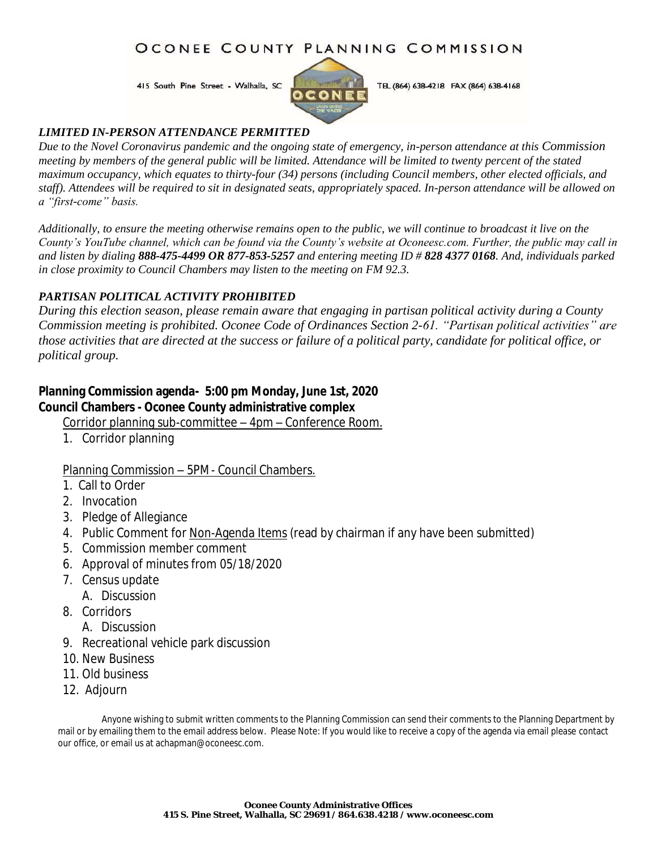#### OCONEE COUNTY PLANNING COMMISSION

415 South Pine Street - Walhalla, SC



TEL (864) 638-4218 FAX (864) 638-4168

#### *LIMITED IN-PERSON ATTENDANCE PERMITTED*

*Due to the Novel Coronavirus pandemic and the ongoing state of emergency, in-person attendance at this Commission meeting by members of the general public will be limited. Attendance will be limited to twenty percent of the stated maximum occupancy, which equates to thirty-four (34) persons (including Council members, other elected officials, and staff). Attendees will be required to sit in designated seats, appropriately spaced. In-person attendance will be allowed on a "first-come" basis.* 

*Additionally, to ensure the meeting otherwise remains open to the public, we will continue to broadcast it live on the County's YouTube channel, which can be found via the County's website at Oconeesc.com. Further, the public may call in and listen by dialing 888-475-4499 OR 877-853-5257 and entering meeting ID # 828 4377 0168. And, individuals parked in close proximity to Council Chambers may listen to the meeting on FM 92.3.* 

#### *PARTISAN POLITICAL ACTIVITY PROHIBITED*

*During this election season, please remain aware that engaging in partisan political activity during a County Commission meeting is prohibited. Oconee Code of Ordinances Section 2-61. "Partisan political activities" are those activities that are directed at the success or failure of a political party, candidate for political office, or political group.*

**Planning Commission agenda- 5:00 pm Monday, June 1st, 2020 Council Chambers - Oconee County administrative complex**

Corridor planning sub-committee – 4pm – Conference Room.

1. Corridor planning

#### Planning Commission – 5PM- Council Chambers.

- 1. Call to Order
- 2. Invocation
- 3. Pledge of Allegiance
- 4. Public Comment for Non-Agenda Items (read by chairman if any have been submitted)
- 5. Commission member comment
- 6. Approval of minutes from 05/18/2020
- 7. Census update
	- A. Discussion
- 8. Corridors
	- A. Discussion
- 9. Recreational vehicle park discussion
- 10. New Business
- 11. Old business
- 12. Adjourn

 Anyone wishing to submit written comments to the Planning Commission can send their comments to the Planning Department by mail or by emailing them to the email address below. Please Note: If you would like to receive a copy of the agenda via email please contact our office, or email us at achapman@oconeesc.com.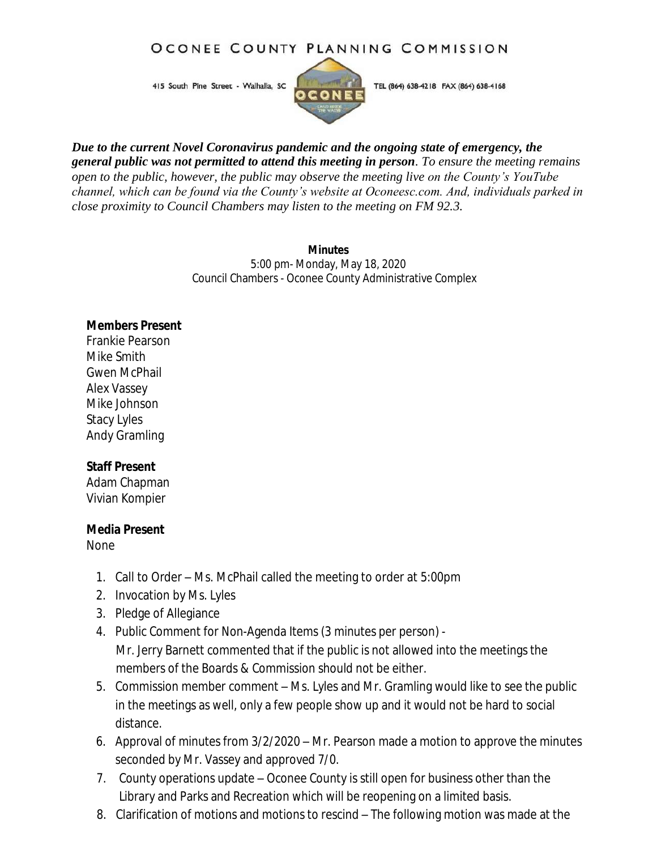#### OCONEE COUNTY PLANNING COMMISSION

415 South Pine Street - Walhalla, SC



TEL (864) 638-4218 FAX (864) 638-4168

*Due to the current Novel Coronavirus pandemic and the ongoing state of emergency, the general public was not permitted to attend this meeting in person. To ensure the meeting remains open to the public, however, the public may observe the meeting live on the County's YouTube channel, which can be found via the County's website at Oconeesc.com. And, individuals parked in close proximity to Council Chambers may listen to the meeting on FM 92.3.*

> **Minutes** 5:00 pm- Monday, May 18, 2020 Council Chambers - Oconee County Administrative Complex

**Members Present** Frankie Pearson Mike Smith Gwen McPhail Alex Vassey Mike Johnson Stacy Lyles Andy Gramling

**Staff Present** Adam Chapman Vivian Kompier

**Media Present** None

- 1. Call to Order Ms. McPhail called the meeting to order at 5:00pm
- 2. Invocation by Ms. Lyles
- 3. Pledge of Allegiance
- 4. Public Comment for Non-Agenda Items (3 minutes per person) Mr. Jerry Barnett commented that if the public is not allowed into the meetings the members of the Boards & Commission should not be either.
- 5. Commission member comment Ms. Lyles and Mr. Gramling would like to see the public in the meetings as well, only a few people show up and it would not be hard to social distance.
- 6. Approval of minutes from 3/2/2020 Mr. Pearson made a motion to approve the minutes seconded by Mr. Vassey and approved 7/0.
- 7. County operations update Oconee County is still open for business other than the Library and Parks and Recreation which will be reopening on a limited basis.
- 8. Clarification of motions and motions to rescind The following motion was made at the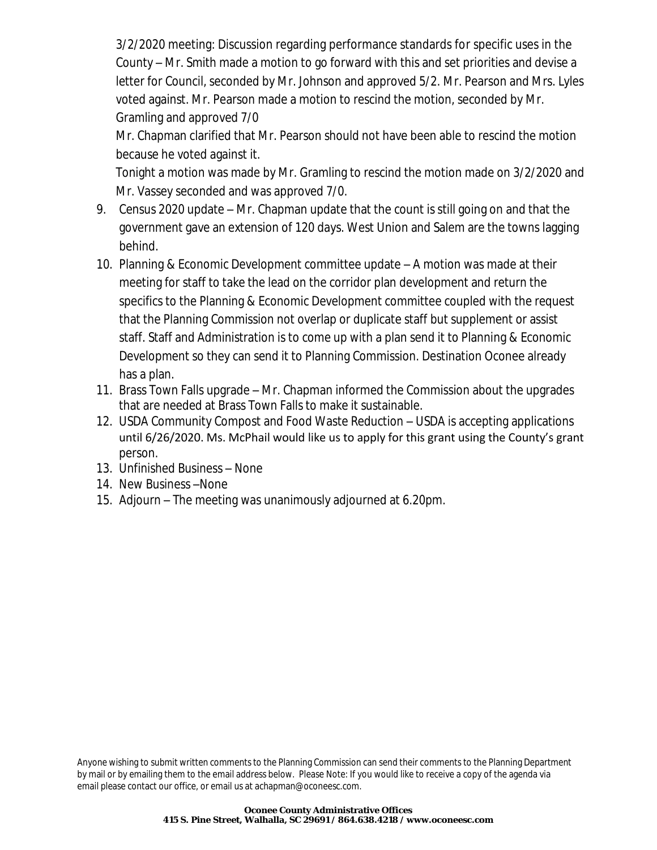3/2/2020 meeting: Discussion regarding performance standards for specific uses in the County – Mr. Smith made a motion to go forward with this and set priorities and devise a letter for Council, seconded by Mr. Johnson and approved 5/2. Mr. Pearson and Mrs. Lyles voted against. Mr. Pearson made a motion to rescind the motion, seconded by Mr. Gramling and approved 7/0

Mr. Chapman clarified that Mr. Pearson should not have been able to rescind the motion because he voted against it.

Tonight a motion was made by Mr. Gramling to rescind the motion made on 3/2/2020 and Mr. Vassey seconded and was approved 7/0.

- 9. Census 2020 update Mr. Chapman update that the count is still going on and that the government gave an extension of 120 days. West Union and Salem are the towns lagging behind.
- 10. Planning & Economic Development committee update A motion was made at their meeting for staff to take the lead on the corridor plan development and return the specifics to the Planning & Economic Development committee coupled with the request that the Planning Commission not overlap or duplicate staff but supplement or assist staff. Staff and Administration is to come up with a plan send it to Planning & Economic Development so they can send it to Planning Commission. Destination Oconee already has a plan.
- 11. Brass Town Falls upgrade Mr. Chapman informed the Commission about the upgrades that are needed at Brass Town Falls to make it sustainable.
- 12. USDA Community Compost and Food Waste Reduction USDA is accepting applications until 6/26/2020. Ms. McPhail would like us to apply for this grant using the County's grant person.
- 13. Unfinished Business None
- 14. New Business –None
- 15. Adjourn The meeting was unanimously adjourned at 6.20pm.

Anyone wishing to submit written comments to the Planning Commission can send their comments to the Planning Department by mail or by emailing them to the email address below. Please Note: If you would like to receive a copy of the agenda via email please contact our office, or email us at [achapman@oconeesc.com.](mailto:achapman@oconeesc.com)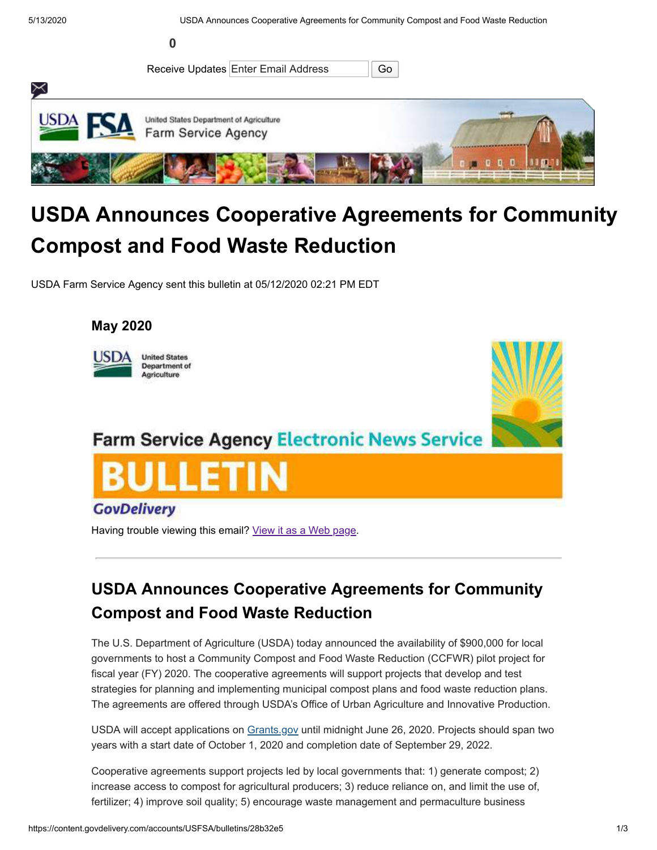

# **USDA Announces Cooperative Agreements for Community Compost and Food Waste Reduction**

USDA Farm Service Agency sent this bulletin at 05/12/2020 02:21 PM EDT

#### **May 2020**





## **Farm Service Agency Electronic News Service**



Having trouble viewing this email? [View it as a Web page](https://content.govdelivery.com/accounts/USFSA/bulletins/28b32e5).

### **USDA Announces Cooperative Agreements for Community Compost and Food Waste Reduction**

The U.S. Department of Agriculture (USDA) today announced the availability of \$900,000 for local governments to host a Community Compost and Food Waste Reduction (CCFWR) pilot project for fiscal year (FY) 2020. The cooperative agreements will support projects that develop and test strategies for planning and implementing municipal compost plans and food waste reduction plans. The agreements are offered through USDA's Office of Urban Agriculture and Innovative Production.

USDA will accept applications on [Grants.gov](https://www.grants.gov/web/grants/view-opportunity.html?oppId=326961&utm_medium=email&utm_source=govdelivery) until midnight June 26, 2020. Projects should span two years with a start date of October 1, 2020 and completion date of September 29, 2022.

Cooperative agreements support projects led by local governments that: 1) generate compost; 2) increase access to compost for agricultural producers; 3) reduce reliance on, and limit the use of, fertilizer; 4) improve soil quality; 5) encourage waste management and permaculture business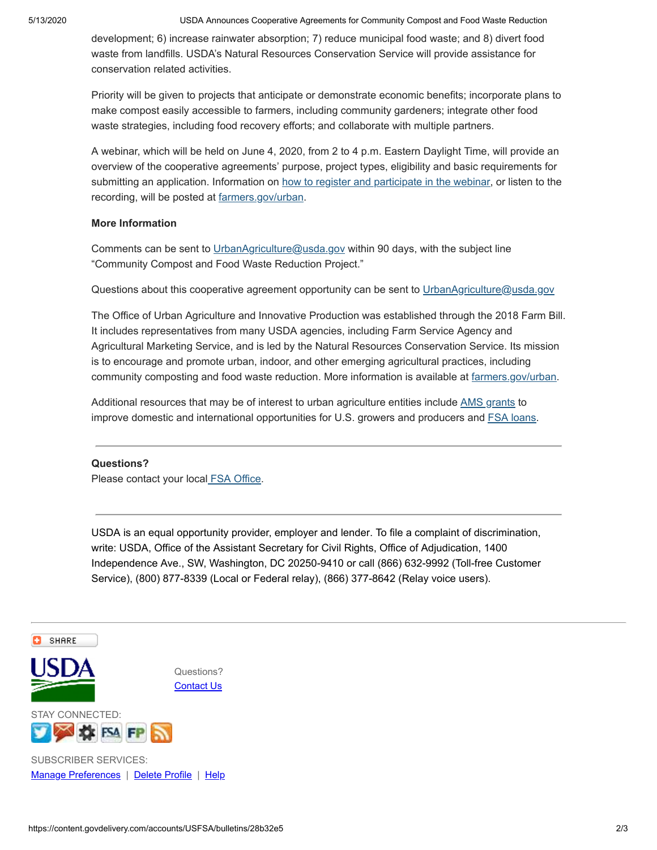development; 6) increase rainwater absorption; 7) reduce municipal food waste; and 8) divert food waste from landfills. USDA's Natural Resources Conservation Service will provide assistance for conservation related activities.

Priority will be given to projects that anticipate or demonstrate economic benefits; incorporate plans to make compost easily accessible to farmers, including community gardeners; integrate other food waste strategies, including food recovery efforts; and collaborate with multiple partners.

A webinar, which will be held on June 4, 2020, from 2 to 4 p.m. Eastern Daylight Time, will provide an overview of the cooperative agreements' purpose, project types, eligibility and basic requirements for submitting an application. Information on [how to register and participate in the webinar](https://events-na12.adobeconnect.com/content/connect/c1/1273044812/en/events/event/shared/default_template_simple/event_landing.html?sco-id=2781870856&utm_medium=email&utm_source=govdelivery), or listen to the recording, will be posted at [farmers.gov/urban](https://www.farmers.gov/manage/urban/opportunities?utm_medium=email&utm_source=govdelivery).

#### **More Information**

Comments can be sent to [UrbanAgriculture@usda.gov](mailto:UrbanAgriculture@usda.gov) within 90 days, with the subject line "Community Compost and Food Waste Reduction Project."

Questions about this cooperative agreement opportunity can be sent to [UrbanAgriculture@usda.gov](mailto:UrbanAgriculture@usda.gov)

The Office of Urban Agriculture and Innovative Production was established through the 2018 Farm Bill. It includes representatives from many USDA agencies, including Farm Service Agency and Agricultural Marketing Service, and is led by the Natural Resources Conservation Service. Its mission is to encourage and promote urban, indoor, and other emerging agricultural practices, including community composting and food waste reduction. More information is available at [farmers.gov/urban.](https://www.farmers.gov/manage/urban/opportunities?utm_medium=email&utm_source=govdelivery)

Additional resources that may be of interest to urban agriculture entities include [AMS grants](https://www.ams.usda.gov/services/grants?utm_medium=email&utm_source=govdelivery) to improve domestic and international opportunities for U.S. growers and producers and **FSA** loans.

#### **Questions?**

Please contact your local [FSA Office.](http://fsa.usda.gov/FSA/stateOffices?area=stoffice&subject=landing&topic=landing&utm_medium=email&utm_source=govdelivery)

USDA is an equal opportunity provider, employer and lender. To file a complaint of discrimination, write: USDA, Office of the Assistant Secretary for Civil Rights, Office of Adjudication, 1400 Independence Ave., SW, Washington, DC 20250-9410 or call (866) 632-9992 (Toll-free Customer Service), (800) 877-8339 (Local or Federal relay), (866) 377-8642 (Relay voice users).

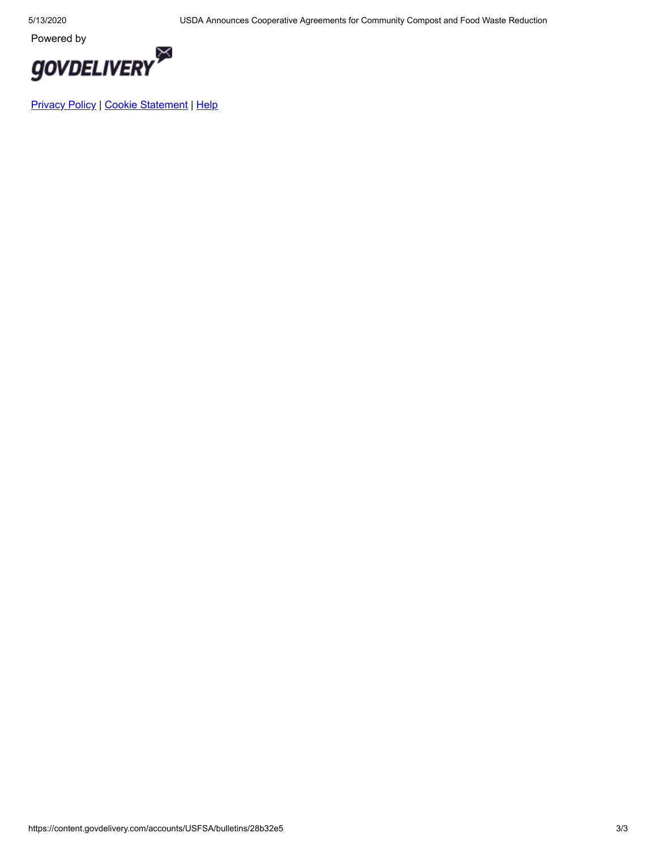

[Privacy Policy](http://www.fsa.usda.gov/help/privacy-policy) | [Cookie Statement](https://subscriberhelp.granicus.com/s/article/Cookies) | [Help](https://subscriberhelp.granicus.com/)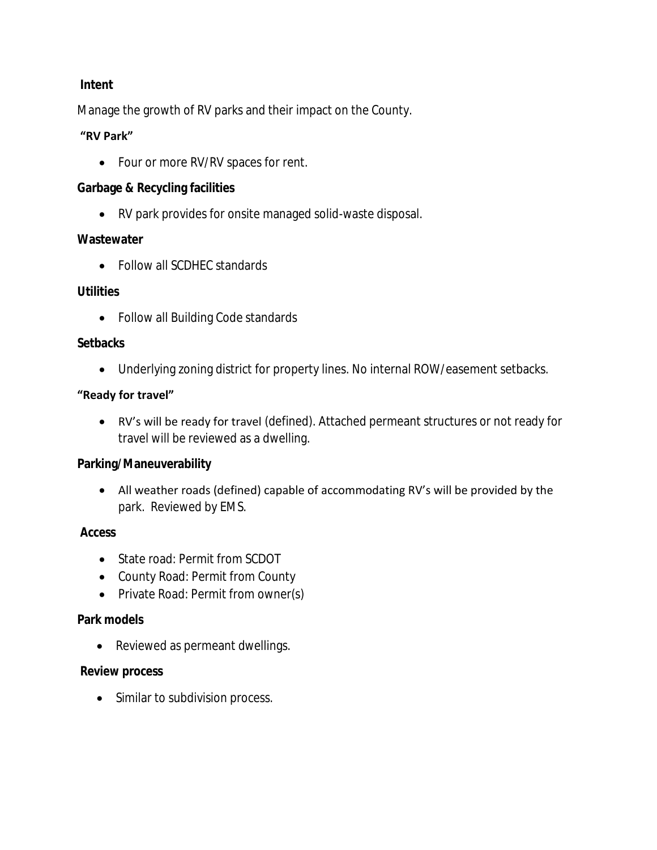#### **Intent**

Manage the growth of RV parks and their impact on the County.

#### **"RV Park"**

• Four or more RV/RV spaces for rent.

**Garbage & Recycling facilities** 

RV park provides for onsite managed solid-waste disposal.

#### **Wastewater**

• Follow all SCDHEC standards

#### **Utilities**

Follow all Building Code standards

#### **Setbacks**

Underlying zoning district for property lines. No internal ROW/easement setbacks.

#### **"Ready for travel"**

 RV's will be ready for travel (defined). Attached permeant structures or not ready for travel will be reviewed as a dwelling.

#### **Parking/Maneuverability**

 All weather roads (defined) capable of accommodating RV's will be provided by the park. Reviewed by EMS.

#### **Access**

- State road: Permit from SCDOT
- County Road: Permit from County
- Private Road: Permit from owner(s)

#### **Park models**

• Reviewed as permeant dwellings.

#### **Review process**

• Similar to subdivision process.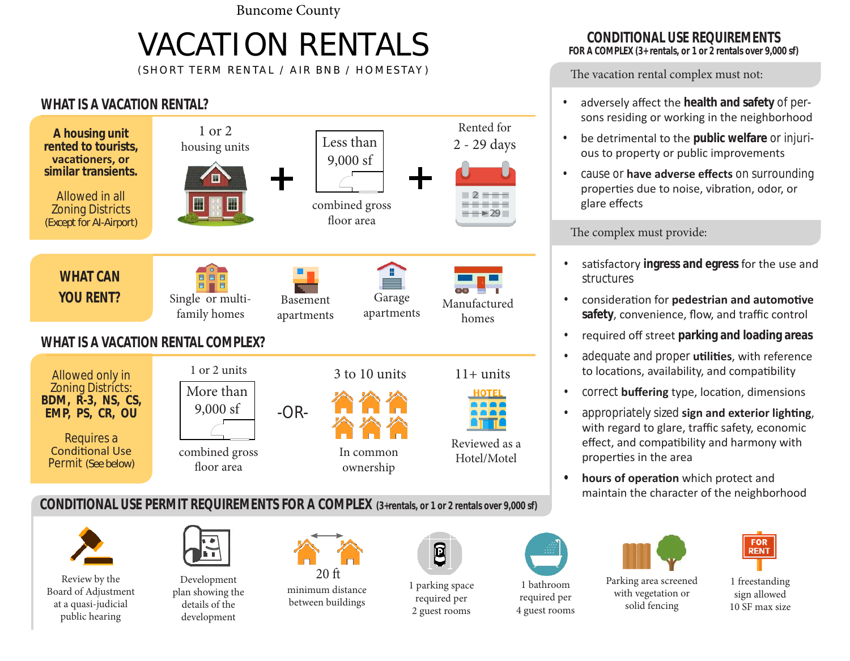Buncome County

# VACATION RENTALS

(SHORT TERM RENTAL / AIR BNB / HOMESTAY )

#### **WHAT IS A VACATION RENTAL?**



**CONDITIONAL USE PERMIT REQUIREMENTS FOR A COMPLEX (3+rentals, or 1 or 2 rentals over 9,000 sf)**



Review by the Board of Adjustment at a quasi-judicial public hearing



Development plan showing the details of the development



minimum distance between buildings



1 parking space required per 2 guest rooms

1 bathroom required per

4 guest rooms







1 freestanding sign allowed 10 SF max size

### **CONDITIONAL USE REQUIREMENTS**

**FOR A COMPLEX (3+ rentals, or 1 or 2 rentals over 9,000 sf)**

The vacation rental complex must not:

- adversely affect the **health and safety** of persons residing or working in the neighborhood
- be detrimental to the **public welfare** or injurious to property or public improvements
- cause or **have adverse effects** on surrounding properties due to noise, vibration, odor, or glare effects

The complex must provide:

- satisfactory **ingress and egress** for the use and structures
- consideration for **pedestrian and automotive safety**, convenience, flow, and traffic control
- required off street **parking and loading areas**
- adequate and proper **utilities**, with reference to locations, availability, and compatibility
- correct **buffering** type, location, dimensions
- appropriately sized **sign and exterior lighting**, with regard to glare, traffic safety, economic effect, and compatibility and harmony with properties in the area
- **• hours of operation** which protect and maintain the character of the neighborhood

Parking area screened with vegetation or solid fencing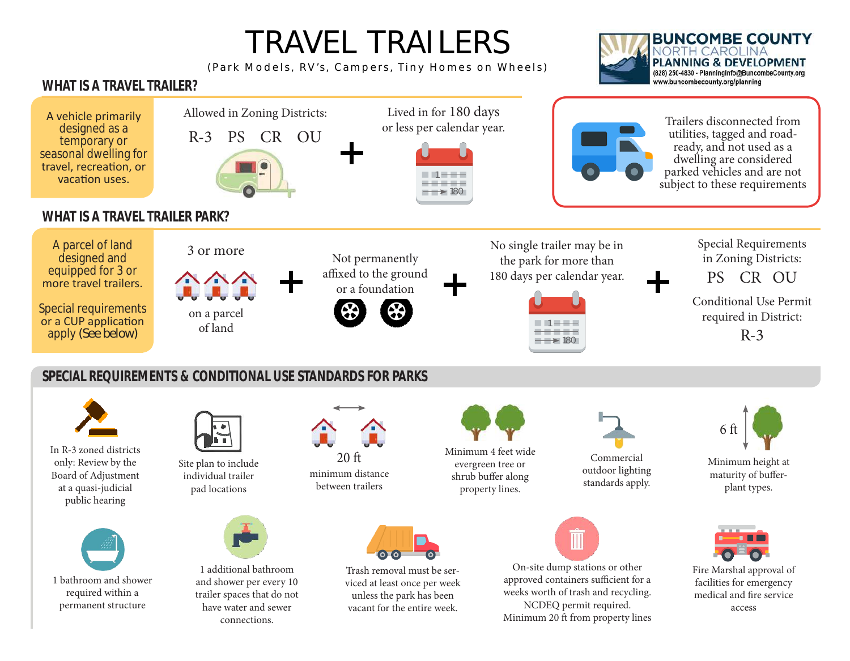# TRAVEL TRAILERS

(Park Models, RV's, Campers, Tiny Homes on Wheels)



#### **WHAT IS A TRAVEL TRAILER?**

connections.



Minimum 20 ft from property lines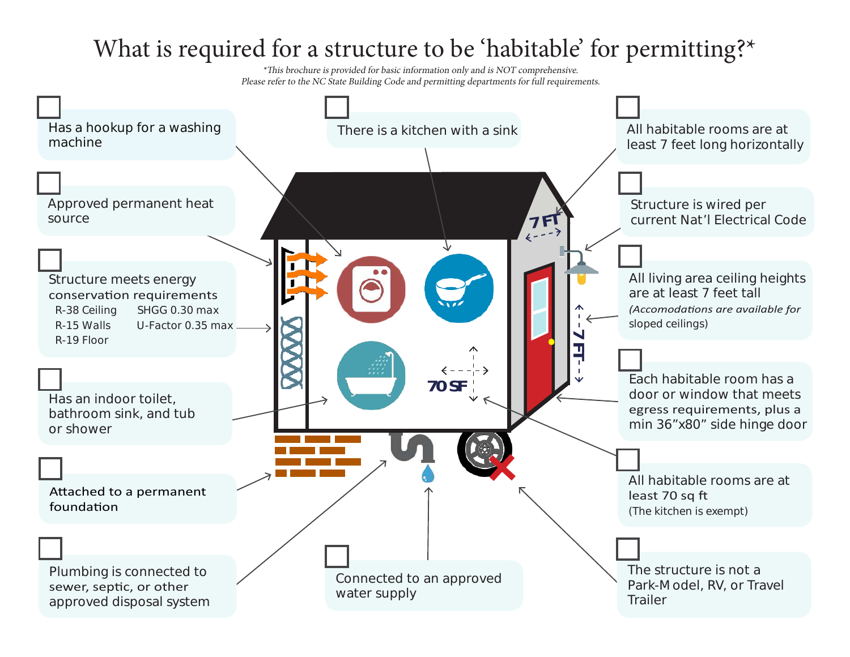# What is required for a structure to be 'habitable' for permitting?\*

\*This brochure is provided for basic information only and is NOT comprehensive. Please refer to the NC State Building Code and permitting departments for full requirements.

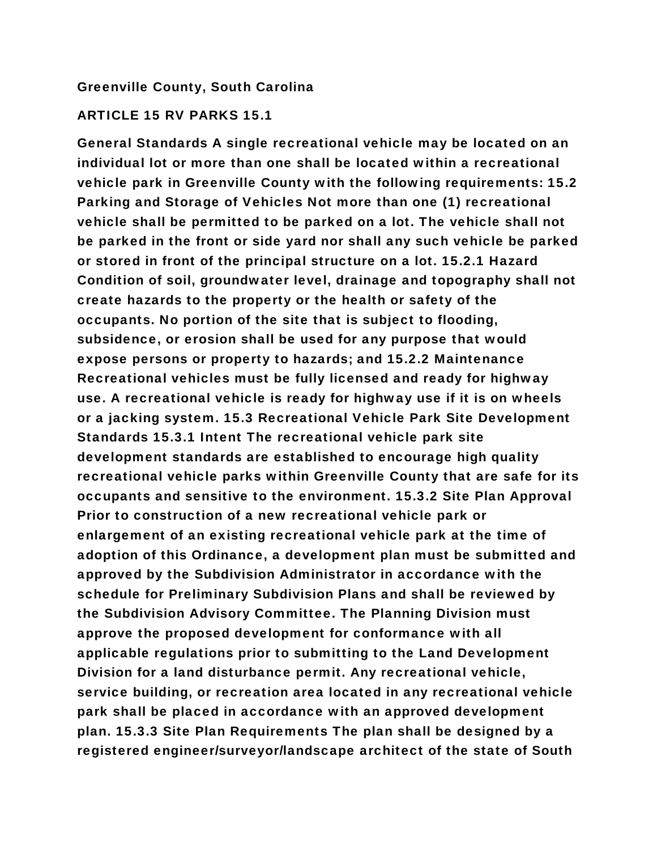#### Greenville County, South Carolina

#### ARTICLE 15 RV PARKS 15.1

General Standards A single recreational vehicle may be located on an individual lot or more than one shall be located within a recreational vehicle park in Greenville County with the following requirements: 15.2 Parking and Storage of Vehicles Not more than one (1) recreational vehicle shall be permitted to be parked on a lot. The vehicle shall not be parked in the front or side yard nor shall any such vehicle be parked or stored in front of the principal structure on a lot. 15.2.1 Hazard Condition of soil, groundwater level, drainage and topography shall not create hazards to the property or the health or safety of the occupants. No portion of the site that is subject to flooding, subsidence, or erosion shall be used for any purpose that would expose persons or property to hazards; and 15.2.2 Maintenance Recreational vehicles must be fully licensed and ready for highway use. A recreational vehicle is ready for highway use if it is on wheels or a jacking system. 15.3 Recreational Vehicle Park Site Development Standards 15.3.1 Intent The recreational vehicle park site development standards are established to encourage high quality recreational vehicle parks within Greenville County that are safe for its occupants and sensitive to the environment. 15.3.2 Site Plan Approval Prior to construction of a new recreational vehicle park or enlargement of an existing recreational vehicle park at the time of adoption of this Ordinance, a development plan must be submitted and approved by the Subdivision Administrator in accordance with the schedule for Preliminary Subdivision Plans and shall be reviewed by the Subdivision Advisory Committee. The Planning Division must approve the proposed development for conformance with all applicable regulations prior to submitting to the Land Development Division for a land disturbance permit. Any recreational vehicle, service building, or recreation area located in any recreational vehicle park shall be placed in accordance with an approved development plan. 15.3.3 Site Plan Requirements The plan shall be designed by a registered engineer/surveyor/landscape architect of the state of South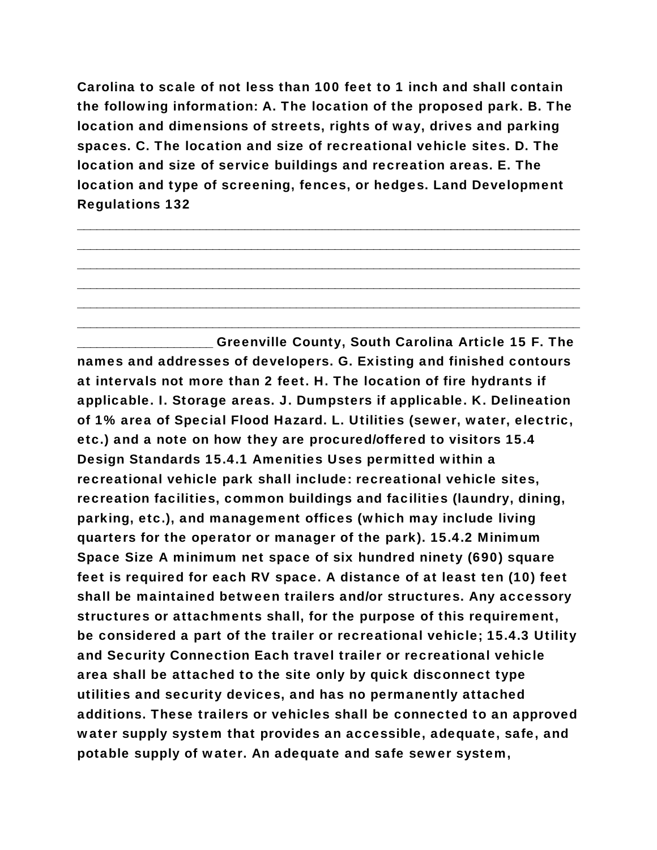Carolina to scale of not less than 100 feet to 1 inch and shall contain the following information: A. The location of the proposed park. B. The location and dimensions of streets, rights of way, drives and parking spaces. C. The location and size of recreational vehicle sites. D. The location and size of service buildings and recreation areas. E. The location and type of screening, fences, or hedges. Land Development Regulations 132

\_\_\_\_\_\_\_\_\_\_\_\_\_\_\_\_\_\_\_\_\_\_\_\_\_\_\_\_\_\_\_\_\_\_\_\_\_\_\_\_\_\_\_\_\_\_\_\_\_\_\_\_\_\_\_\_\_\_\_\_\_\_\_\_\_\_\_\_\_\_\_\_\_\_\_\_\_\_ \_\_\_\_\_\_\_\_\_\_\_\_\_\_\_\_\_\_\_\_\_\_\_\_\_\_\_\_\_\_\_\_\_\_\_\_\_\_\_\_\_\_\_\_\_\_\_\_\_\_\_\_\_\_\_\_\_\_\_\_\_\_\_\_\_\_\_\_\_\_\_\_\_\_\_\_\_\_ \_\_\_\_\_\_\_\_\_\_\_\_\_\_\_\_\_\_\_\_\_\_\_\_\_\_\_\_\_\_\_\_\_\_\_\_\_\_\_\_\_\_\_\_\_\_\_\_\_\_\_\_\_\_\_\_\_\_\_\_\_\_\_\_\_\_\_\_\_\_\_\_\_\_\_\_\_\_ \_\_\_\_\_\_\_\_\_\_\_\_\_\_\_\_\_\_\_\_\_\_\_\_\_\_\_\_\_\_\_\_\_\_\_\_\_\_\_\_\_\_\_\_\_\_\_\_\_\_\_\_\_\_\_\_\_\_\_\_\_\_\_\_\_\_\_\_\_\_\_\_\_\_\_\_\_\_ \_\_\_\_\_\_\_\_\_\_\_\_\_\_\_\_\_\_\_\_\_\_\_\_\_\_\_\_\_\_\_\_\_\_\_\_\_\_\_\_\_\_\_\_\_\_\_\_\_\_\_\_\_\_\_\_\_\_\_\_\_\_\_\_\_\_\_\_\_\_\_\_\_\_\_\_\_\_ \_\_\_\_\_\_\_\_\_\_\_\_\_\_\_\_\_\_\_\_\_\_\_\_\_\_\_\_\_\_\_\_\_\_\_\_\_\_\_\_\_\_\_\_\_\_\_\_\_\_\_\_\_\_\_\_\_\_\_\_\_\_\_\_\_\_\_\_\_\_\_\_\_\_\_\_\_\_

\_\_\_\_\_\_\_\_\_\_\_\_\_\_\_\_\_\_\_\_\_ Greenville County, South Carolina Article 15 F. The names and addresses of developers. G. Existing and finished contours at intervals not more than 2 feet. H. The location of fire hydrants if applicable. I. Storage areas. J. Dumpsters if applicable. K. Delineation of 1% area of Special Flood Hazard. L. Utilities (sewer, water, electric, etc.) and a note on how they are procured/offered to visitors 15.4 Design Standards 15.4.1 Amenities Uses permitted within a recreational vehicle park shall include: recreational vehicle sites, recreation facilities, common buildings and facilities (laundry, dining, parking, etc.), and management offices (which may include living quarters for the operator or manager of the park). 15.4.2 Minimum Space Size A minimum net space of six hundred ninety (690) square feet is required for each RV space. A distance of at least ten (10) feet shall be maintained between trailers and/or structures. Any accessory structures or attachments shall, for the purpose of this requirement, be considered a part of the trailer or recreational vehicle; 15.4.3 Utility and Security Connection Each travel trailer or recreational vehicle area shall be attached to the site only by quick disconnect type utilities and security devices, and has no permanently attached additions. These trailers or vehicles shall be connected to an approved water supply system that provides an accessible, adequate, safe, and potable supply of water. An adequate and safe sewer system,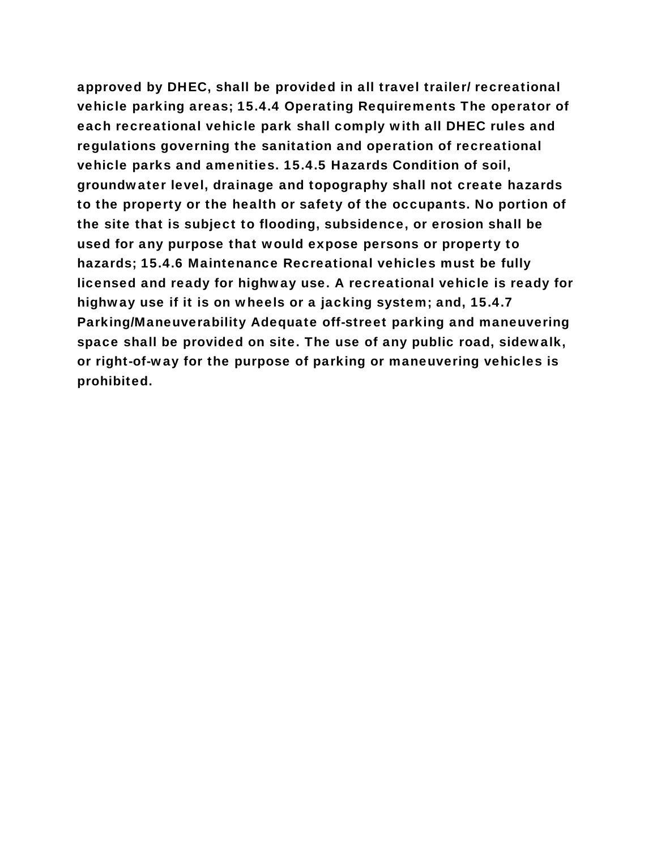approved by DHEC, shall be provided in all travel trailer/ recreational vehicle parking areas; 15.4.4 Operating Requirements The operator of each recreational vehicle park shall comply with all DHEC rules and regulations governing the sanitation and operation of recreational vehicle parks and amenities. 15.4.5 Hazards Condition of soil, groundwater level, drainage and topography shall not create hazards to the property or the health or safety of the occupants. No portion of the site that is subject to flooding, subsidence, or erosion shall be used for any purpose that would expose persons or property to hazards; 15.4.6 Maintenance Recreational vehicles must be fully licensed and ready for highway use. A recreational vehicle is ready for highway use if it is on wheels or a jacking system; and, 15.4.7 Parking/Maneuverability Adequate off-street parking and maneuvering space shall be provided on site. The use of any public road, sidewalk, or right-of-way for the purpose of parking or maneuvering vehicles is prohibited.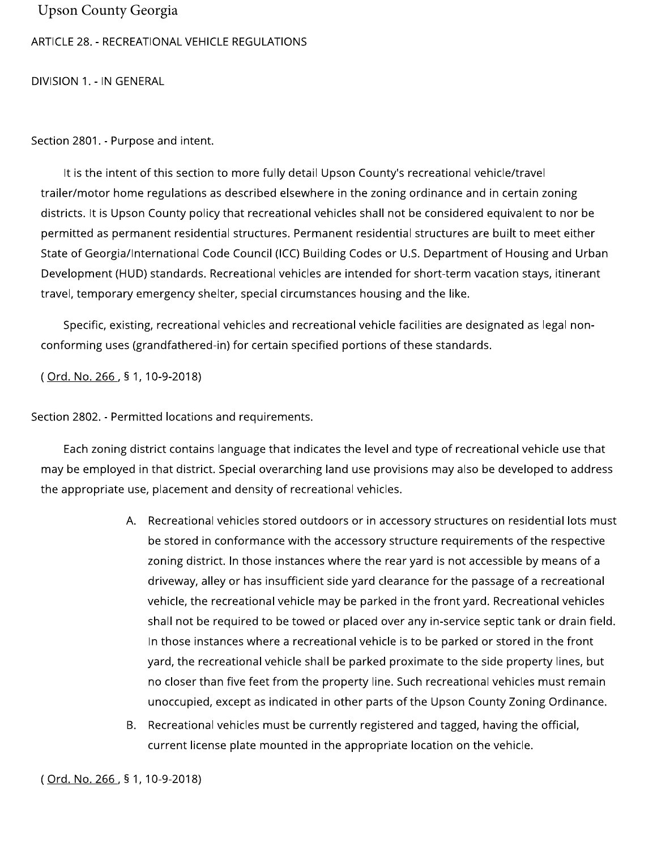#### **Upson County Georgia**

#### ARTICLE 28. - RECREATIONAL VEHICLE REGULATIONS

DIVISION 1. - IN GENERAL

Section 2801. - Purpose and intent.

It is the intent of this section to more fully detail Upson County's recreational vehicle/travel trailer/motor home regulations as described elsewhere in the zoning ordinance and in certain zoning districts. It is Upson County policy that recreational vehicles shall not be considered equivalent to nor be permitted as permanent residential structures. Permanent residential structures are built to meet either State of Georgia/International Code Council (ICC) Building Codes or U.S. Department of Housing and Urban Development (HUD) standards. Recreational vehicles are intended for short-term vacation stays, itinerant travel, temporary emergency shelter, special circumstances housing and the like.

Specific, existing, recreational vehicles and recreational vehicle facilities are designated as legal nonconforming uses (grandfathered-in) for certain specified portions of these standards.

(Ord. No. 266, § 1, 10-9-2018)

Section 2802. - Permitted locations and requirements.

Each zoning district contains language that indicates the level and type of recreational vehicle use that may be employed in that district. Special overarching land use provisions may also be developed to address the appropriate use, placement and density of recreational vehicles.

- A. Recreational vehicles stored outdoors or in accessory structures on residential lots must be stored in conformance with the accessory structure requirements of the respective zoning district. In those instances where the rear yard is not accessible by means of a driveway, alley or has insufficient side yard clearance for the passage of a recreational vehicle, the recreational vehicle may be parked in the front yard. Recreational vehicles shall not be required to be towed or placed over any in-service septic tank or drain field. In those instances where a recreational vehicle is to be parked or stored in the front yard, the recreational vehicle shall be parked proximate to the side property lines, but no closer than five feet from the property line. Such recreational vehicles must remain unoccupied, except as indicated in other parts of the Upson County Zoning Ordinance.
- Recreational vehicles must be currently registered and tagged, having the official, Β. current license plate mounted in the appropriate location on the vehicle.

(Ord. No. 266, § 1, 10-9-2018)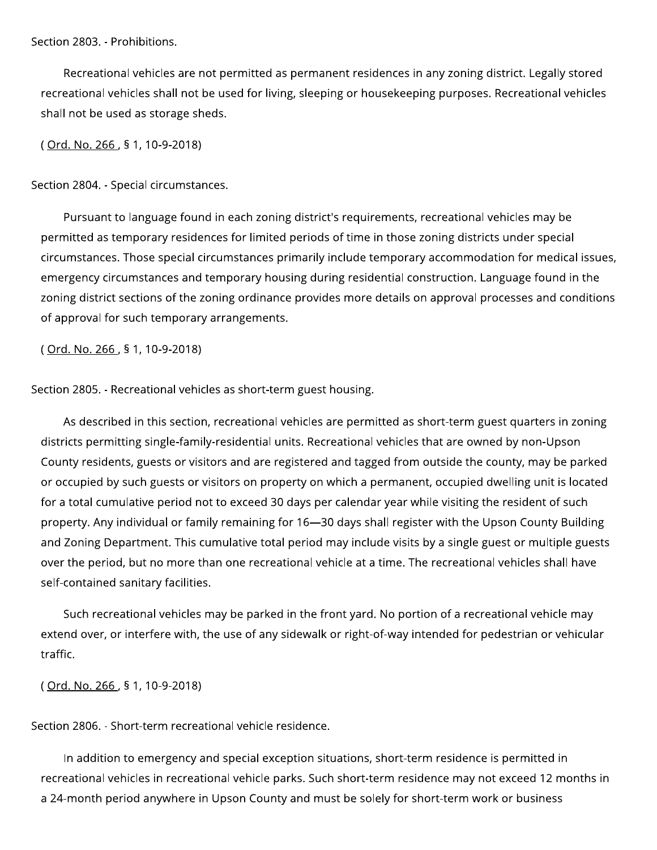Section 2803. - Prohibitions.

Recreational vehicles are not permitted as permanent residences in any zoning district. Legally stored recreational vehicles shall not be used for living, sleeping or housekeeping purposes. Recreational vehicles shall not be used as storage sheds.

(Ord. No. 266, § 1, 10-9-2018)

Section 2804. - Special circumstances.

Pursuant to language found in each zoning district's requirements, recreational vehicles may be permitted as temporary residences for limited periods of time in those zoning districts under special circumstances. Those special circumstances primarily include temporary accommodation for medical issues, emergency circumstances and temporary housing during residential construction. Language found in the zoning district sections of the zoning ordinance provides more details on approval processes and conditions of approval for such temporary arrangements.

(Ord. No. 266, § 1, 10-9-2018)

Section 2805. - Recreational vehicles as short-term guest housing.

As described in this section, recreational vehicles are permitted as short-term guest quarters in zoning districts permitting single-family-residential units. Recreational vehicles that are owned by non-Upson County residents, guests or visitors and are registered and tagged from outside the county, may be parked or occupied by such guests or visitors on property on which a permanent, occupied dwelling unit is located for a total cumulative period not to exceed 30 days per calendar year while visiting the resident of such property. Any individual or family remaining for 16-30 days shall register with the Upson County Building and Zoning Department. This cumulative total period may include visits by a single guest or multiple guests over the period, but no more than one recreational vehicle at a time. The recreational vehicles shall have self-contained sanitary facilities.

Such recreational vehicles may be parked in the front yard. No portion of a recreational vehicle may extend over, or interfere with, the use of any sidewalk or right-of-way intended for pedestrian or vehicular traffic.

(Ord. No. 266, § 1, 10-9-2018)

Section 2806. - Short-term recreational vehicle residence.

In addition to emergency and special exception situations, short-term residence is permitted in recreational vehicles in recreational vehicle parks. Such short-term residence may not exceed 12 months in a 24-month period anywhere in Upson County and must be solely for short-term work or business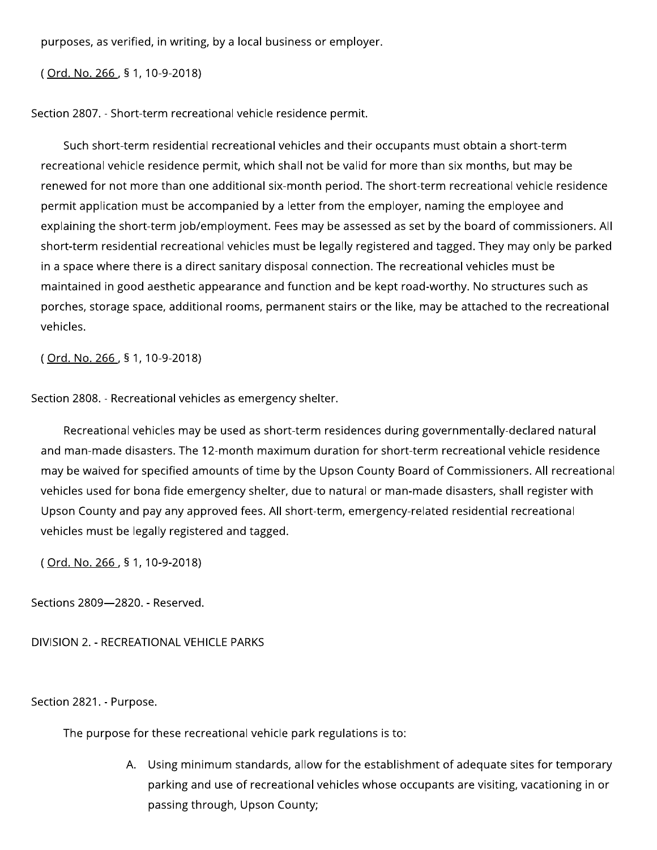purposes, as verified, in writing, by a local business or employer.

(Ord. No. 266, § 1, 10-9-2018)

Section 2807. - Short-term recreational vehicle residence permit.

Such short-term residential recreational vehicles and their occupants must obtain a short-term recreational vehicle residence permit, which shall not be valid for more than six months, but may be renewed for not more than one additional six-month period. The short-term recreational vehicle residence permit application must be accompanied by a letter from the employer, naming the employee and explaining the short-term job/employment. Fees may be assessed as set by the board of commissioners. All short-term residential recreational vehicles must be legally registered and tagged. They may only be parked in a space where there is a direct sanitary disposal connection. The recreational vehicles must be maintained in good aesthetic appearance and function and be kept road-worthy. No structures such as porches, storage space, additional rooms, permanent stairs or the like, may be attached to the recreational vehicles.

(Ord. No. 266, § 1, 10-9-2018)

Section 2808. - Recreational vehicles as emergency shelter.

Recreational vehicles may be used as short-term residences during governmentally-declared natural and man-made disasters. The 12-month maximum duration for short-term recreational vehicle residence may be waived for specified amounts of time by the Upson County Board of Commissioners. All recreational vehicles used for bona fide emergency shelter, due to natural or man-made disasters, shall register with Upson County and pay any approved fees. All short-term, emergency-related residential recreational vehicles must be legally registered and tagged.

(Ord. No. 266, § 1, 10-9-2018)

Sections 2809-2820. - Reserved.

DIVISION 2. - RECREATIONAL VEHICLE PARKS

Section 2821. - Purpose.

The purpose for these recreational vehicle park regulations is to:

A. Using minimum standards, allow for the establishment of adequate sites for temporary parking and use of recreational vehicles whose occupants are visiting, vacationing in or passing through, Upson County;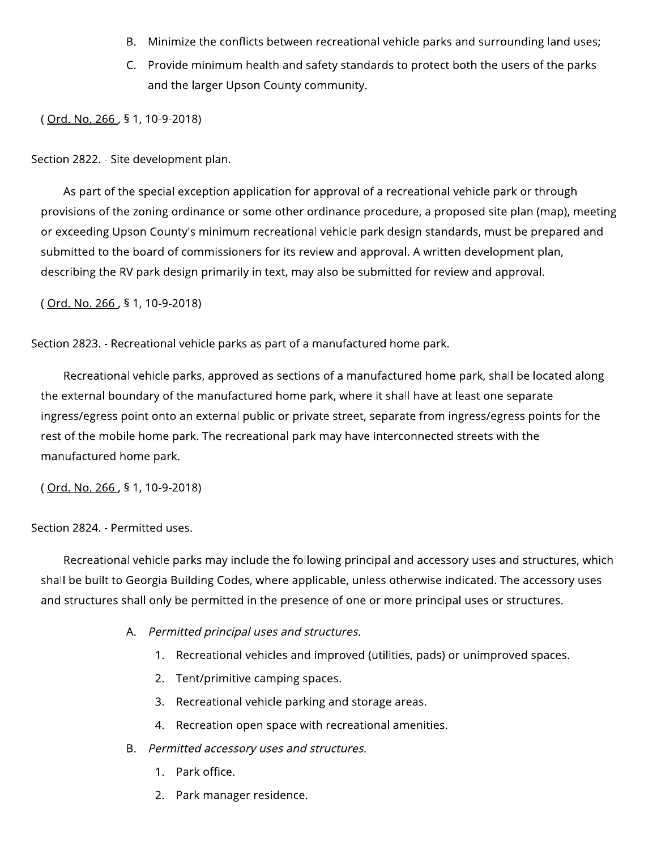- B. Minimize the conflicts between recreational vehicle parks and surrounding land uses;
- C. Provide minimum health and safety standards to protect both the users of the parks and the larger Upson County community.

(Ord. No. 266, § 1, 10-9-2018)

Section 2822. - Site development plan.

As part of the special exception application for approval of a recreational vehicle park or through provisions of the zoning ordinance or some other ordinance procedure, a proposed site plan (map), meeting or exceeding Upson County's minimum recreational vehicle park design standards, must be prepared and submitted to the board of commissioners for its review and approval. A written development plan, describing the RV park design primarily in text, may also be submitted for review and approval.

(Ord. No. 266, § 1, 10-9-2018)

Section 2823. - Recreational vehicle parks as part of a manufactured home park.

Recreational vehicle parks, approved as sections of a manufactured home park, shall be located along the external boundary of the manufactured home park, where it shall have at least one separate ingress/egress point onto an external public or private street, separate from ingress/egress points for the rest of the mobile home park. The recreational park may have interconnected streets with the manufactured home park.

(Ord. No. 266, § 1, 10-9-2018)

#### Section 2824. - Permitted uses.

Recreational vehicle parks may include the following principal and accessory uses and structures, which shall be built to Georgia Building Codes, where applicable, unless otherwise indicated. The accessory uses and structures shall only be permitted in the presence of one or more principal uses or structures.

- A. Permitted principal uses and structures.
	- 1. Recreational vehicles and improved (utilities, pads) or unimproved spaces.
	- 2. Tent/primitive camping spaces.
	- 3. Recreational vehicle parking and storage areas.
	- 4. Recreation open space with recreational amenities.
- B. Permitted accessory uses and structures.
	- 1. Park office.
	- 2. Park manager residence.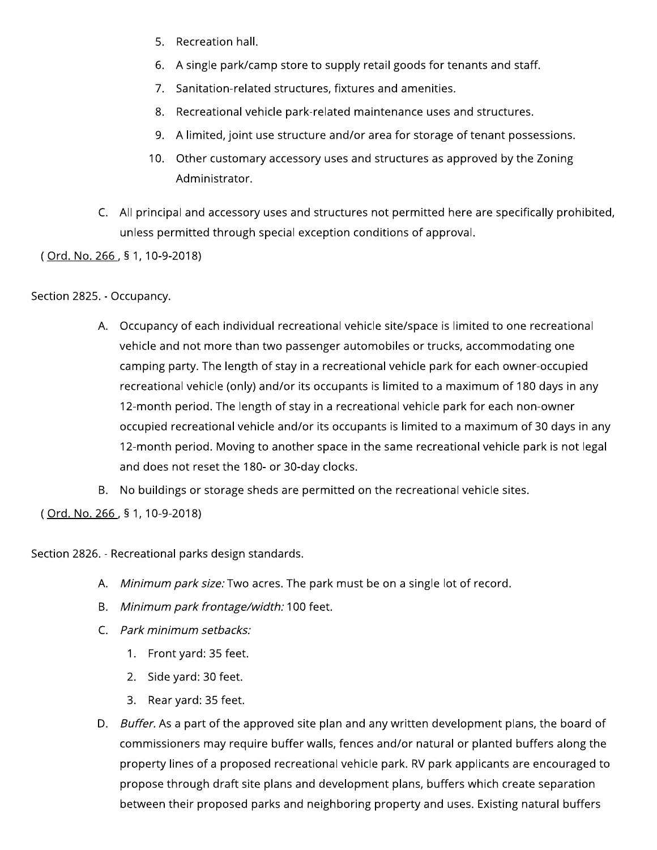- 5. Recreation hall.
- 6. A single park/camp store to supply retail goods for tenants and staff.
- 7. Sanitation-related structures, fixtures and amenities.
- 8. Recreational vehicle park-related maintenance uses and structures.
- 9. A limited, joint use structure and/or area for storage of tenant possessions.
- 10. Other customary accessory uses and structures as approved by the Zoning Administrator.
- C. All principal and accessory uses and structures not permitted here are specifically prohibited, unless permitted through special exception conditions of approval.

(Ord. No. 266, § 1, 10-9-2018)

#### Section 2825. - Occupancy.

- A. Occupancy of each individual recreational vehicle site/space is limited to one recreational vehicle and not more than two passenger automobiles or trucks, accommodating one camping party. The length of stay in a recreational vehicle park for each owner-occupied recreational vehicle (only) and/or its occupants is limited to a maximum of 180 days in any 12-month period. The length of stay in a recreational vehicle park for each non-owner occupied recreational vehicle and/or its occupants is limited to a maximum of 30 days in any 12-month period. Moving to another space in the same recreational vehicle park is not legal and does not reset the 180- or 30-day clocks.
- B. No buildings or storage sheds are permitted on the recreational vehicle sites.

(Ord. No. 266, § 1, 10-9-2018)

Section 2826. - Recreational parks design standards.

- A. Minimum park size: Two acres. The park must be on a single lot of record.
- B. Minimum park frontage/width: 100 feet.
- C. Park minimum setbacks:
	- 1. Front yard: 35 feet.
	- 2. Side yard: 30 feet.
	- 3. Rear yard: 35 feet.
- D. Buffer. As a part of the approved site plan and any written development plans, the board of commissioners may require buffer walls, fences and/or natural or planted buffers along the property lines of a proposed recreational vehicle park. RV park applicants are encouraged to propose through draft site plans and development plans, buffers which create separation between their proposed parks and neighboring property and uses. Existing natural buffers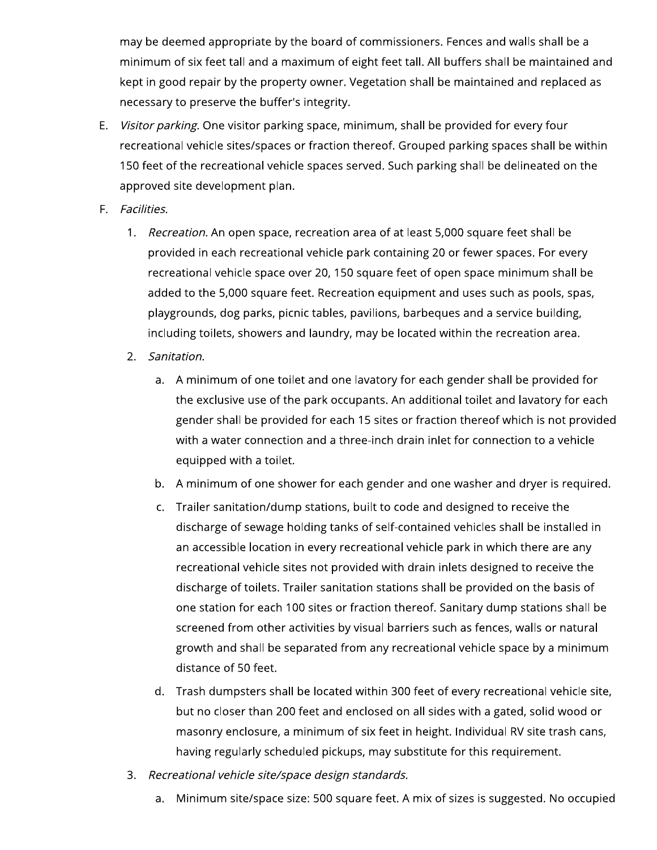may be deemed appropriate by the board of commissioners. Fences and walls shall be a minimum of six feet tall and a maximum of eight feet tall. All buffers shall be maintained and kept in good repair by the property owner. Vegetation shall be maintained and replaced as necessary to preserve the buffer's integrity.

- E. Visitor parking. One visitor parking space, minimum, shall be provided for every four recreational vehicle sites/spaces or fraction thereof. Grouped parking spaces shall be within 150 feet of the recreational vehicle spaces served. Such parking shall be delineated on the approved site development plan.
- F. Facilities.
	- 1. Recreation. An open space, recreation area of at least 5,000 square feet shall be provided in each recreational vehicle park containing 20 or fewer spaces. For every recreational vehicle space over 20, 150 square feet of open space minimum shall be added to the 5,000 square feet. Recreation equipment and uses such as pools, spas, playgrounds, dog parks, picnic tables, pavilions, barbeques and a service building, including toilets, showers and laundry, may be located within the recreation area.
	- 2. Sanitation.
		- a. A minimum of one toilet and one lavatory for each gender shall be provided for the exclusive use of the park occupants. An additional toilet and lavatory for each gender shall be provided for each 15 sites or fraction thereof which is not provided with a water connection and a three-inch drain inlet for connection to a vehicle equipped with a toilet.
		- b. A minimum of one shower for each gender and one washer and dryer is required.
		- Trailer sanitation/dump stations, built to code and designed to receive the  $C_{\star}$ discharge of sewage holding tanks of self-contained vehicles shall be installed in an accessible location in every recreational vehicle park in which there are any recreational vehicle sites not provided with drain inlets designed to receive the discharge of toilets. Trailer sanitation stations shall be provided on the basis of one station for each 100 sites or fraction thereof. Sanitary dump stations shall be screened from other activities by visual barriers such as fences, walls or natural growth and shall be separated from any recreational vehicle space by a minimum distance of 50 feet.
		- d. Trash dumpsters shall be located within 300 feet of every recreational vehicle site, but no closer than 200 feet and enclosed on all sides with a gated, solid wood or masonry enclosure, a minimum of six feet in height. Individual RV site trash cans, having regularly scheduled pickups, may substitute for this requirement.
	- 3. Recreational vehicle site/space design standards.
		- Minimum site/space size: 500 square feet. A mix of sizes is suggested. No occupied a.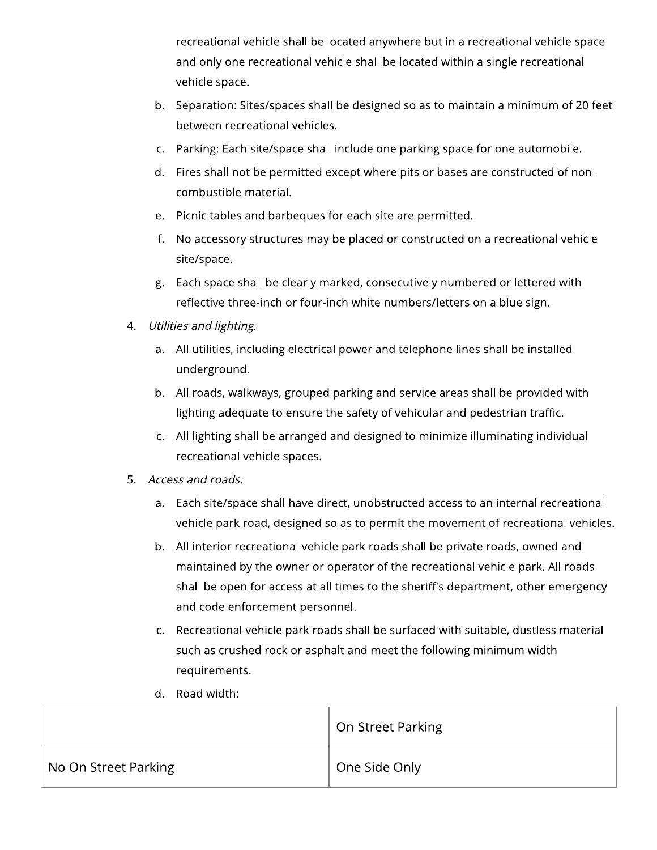recreational vehicle shall be located anywhere but in a recreational vehicle space and only one recreational vehicle shall be located within a single recreational vehicle space.

- b. Separation: Sites/spaces shall be designed so as to maintain a minimum of 20 feet between recreational vehicles.
- c. Parking: Each site/space shall include one parking space for one automobile.
- d. Fires shall not be permitted except where pits or bases are constructed of noncombustible material.
- e. Picnic tables and barbeques for each site are permitted.
- f. No accessory structures may be placed or constructed on a recreational vehicle site/space.
- g. Each space shall be clearly marked, consecutively numbered or lettered with reflective three-inch or four-inch white numbers/letters on a blue sign.
- Utilities and lighting. 4.
	- a. All utilities, including electrical power and telephone lines shall be installed underground.
	- b. All roads, walkways, grouped parking and service areas shall be provided with lighting adequate to ensure the safety of vehicular and pedestrian traffic.
	- c. All lighting shall be arranged and designed to minimize illuminating individual recreational vehicle spaces.
- Access and roads. 5.
	- a. Each site/space shall have direct, unobstructed access to an internal recreational vehicle park road, designed so as to permit the movement of recreational vehicles.
	- b. All interior recreational vehicle park roads shall be private roads, owned and maintained by the owner or operator of the recreational vehicle park. All roads shall be open for access at all times to the sheriff's department, other emergency and code enforcement personnel.
	- c. Recreational vehicle park roads shall be surfaced with suitable, dustless material such as crushed rock or asphalt and meet the following minimum width requirements.
	- d. Road width:

|                      | <b>On-Street Parking</b> |
|----------------------|--------------------------|
| No On Street Parking | One Side Only            |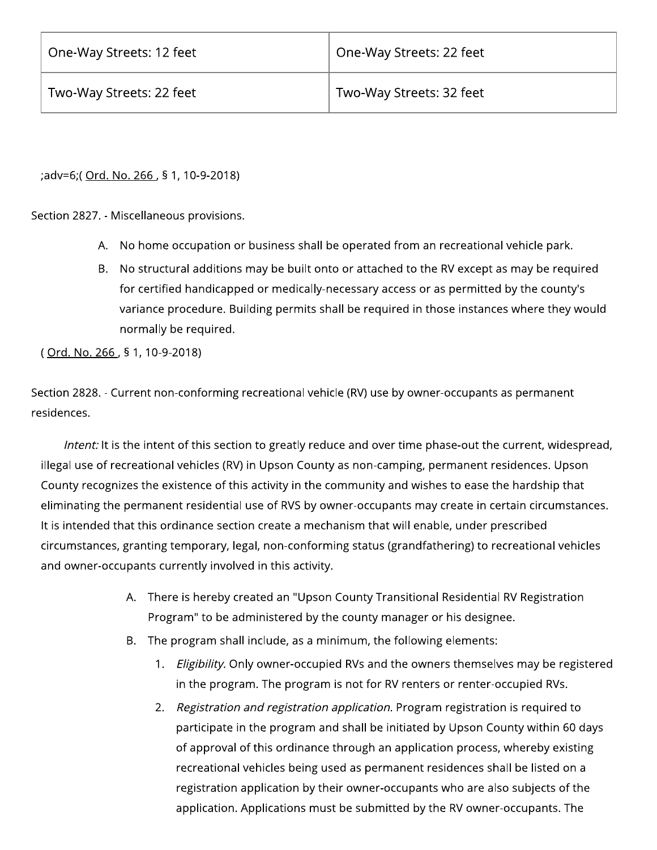;adv=6;( Ord. No. 266, § 1, 10-9-2018)

Section 2827. - Miscellaneous provisions.

- A. No home occupation or business shall be operated from an recreational vehicle park.
- B. No structural additions may be built onto or attached to the RV except as may be required for certified handicapped or medically-necessary access or as permitted by the county's variance procedure. Building permits shall be required in those instances where they would normally be required.

(Ord. No. 266, § 1, 10-9-2018)

Section 2828. - Current non-conforming recreational vehicle (RV) use by owner-occupants as permanent residences.

Intent: It is the intent of this section to greatly reduce and over time phase-out the current, widespread, illegal use of recreational vehicles (RV) in Upson County as non-camping, permanent residences. Upson County recognizes the existence of this activity in the community and wishes to ease the hardship that eliminating the permanent residential use of RVS by owner-occupants may create in certain circumstances. It is intended that this ordinance section create a mechanism that will enable, under prescribed circumstances, granting temporary, legal, non-conforming status (grandfathering) to recreational vehicles and owner-occupants currently involved in this activity.

- A. There is hereby created an "Upson County Transitional Residential RV Registration Program" to be administered by the county manager or his designee.
- B. The program shall include, as a minimum, the following elements:
	- 1. Eligibility. Only owner-occupied RVs and the owners themselves may be registered in the program. The program is not for RV renters or renter-occupied RVs.
	- 2. Registration and registration application. Program registration is required to participate in the program and shall be initiated by Upson County within 60 days of approval of this ordinance through an application process, whereby existing recreational vehicles being used as permanent residences shall be listed on a registration application by their owner-occupants who are also subjects of the application. Applications must be submitted by the RV owner-occupants. The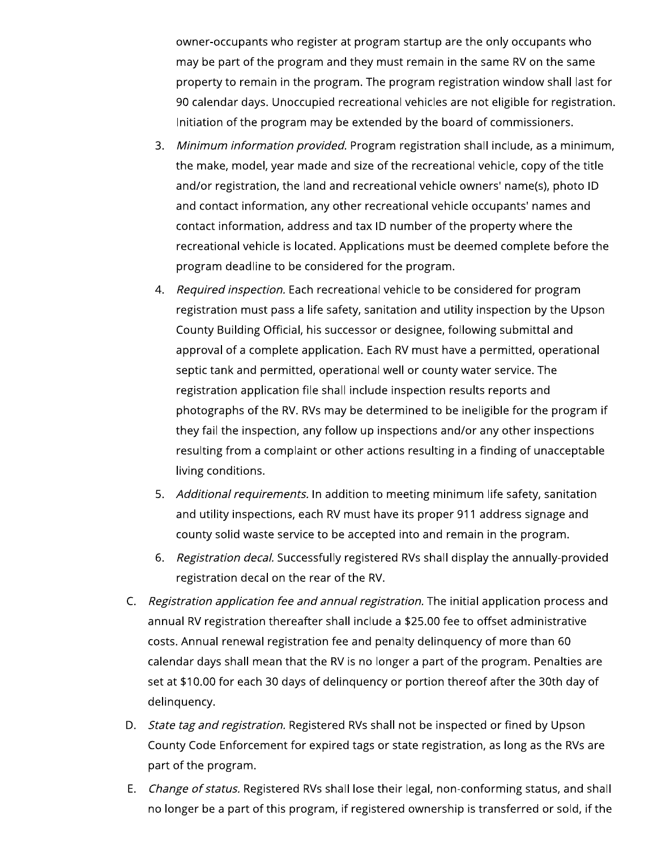owner-occupants who register at program startup are the only occupants who may be part of the program and they must remain in the same RV on the same property to remain in the program. The program registration window shall last for 90 calendar days. Unoccupied recreational vehicles are not eligible for registration. Initiation of the program may be extended by the board of commissioners.

- 3. Minimum information provided. Program registration shall include, as a minimum, the make, model, year made and size of the recreational vehicle, copy of the title and/or registration, the land and recreational vehicle owners' name(s), photo ID and contact information, any other recreational vehicle occupants' names and contact information, address and tax ID number of the property where the recreational vehicle is located. Applications must be deemed complete before the program deadline to be considered for the program.
- 4. Required inspection. Each recreational vehicle to be considered for program registration must pass a life safety, sanitation and utility inspection by the Upson County Building Official, his successor or designee, following submittal and approval of a complete application. Each RV must have a permitted, operational septic tank and permitted, operational well or county water service. The registration application file shall include inspection results reports and photographs of the RV. RVs may be determined to be ineligible for the program if they fail the inspection, any follow up inspections and/or any other inspections resulting from a complaint or other actions resulting in a finding of unacceptable living conditions.
- 5. Additional requirements. In addition to meeting minimum life safety, sanitation and utility inspections, each RV must have its proper 911 address signage and county solid waste service to be accepted into and remain in the program.
- 6. Registration decal. Successfully registered RVs shall display the annually-provided registration decal on the rear of the RV.
- C. Registration application fee and annual registration. The initial application process and annual RV registration thereafter shall include a \$25.00 fee to offset administrative costs. Annual renewal registration fee and penalty delinquency of more than 60 calendar days shall mean that the RV is no longer a part of the program. Penalties are set at \$10.00 for each 30 days of delinguency or portion thereof after the 30th day of delinquency.
- D. State tag and registration. Registered RVs shall not be inspected or fined by Upson County Code Enforcement for expired tags or state registration, as long as the RVs are part of the program.
- Change of status. Registered RVs shall lose their legal, non-conforming status, and shall Е. no longer be a part of this program, if registered ownership is transferred or sold, if the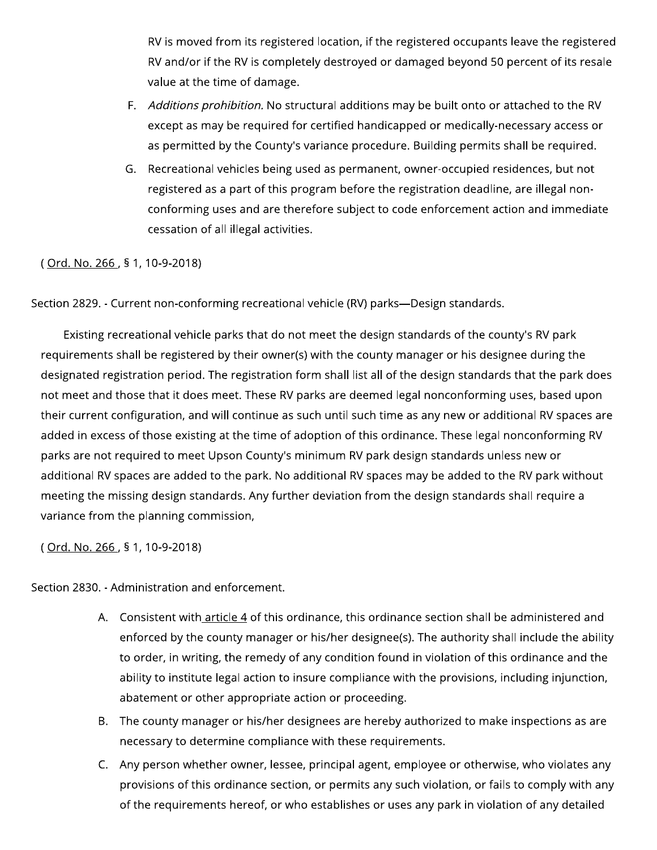RV is moved from its registered location, if the registered occupants leave the registered RV and/or if the RV is completely destroyed or damaged beyond 50 percent of its resale value at the time of damage.

- F. Additions prohibition. No structural additions may be built onto or attached to the RV except as may be required for certified handicapped or medically-necessary access or as permitted by the County's variance procedure. Building permits shall be required.
- G. Recreational vehicles being used as permanent, owner-occupied residences, but not registered as a part of this program before the registration deadline, are illegal nonconforming uses and are therefore subject to code enforcement action and immediate cessation of all illegal activities.

(Ord. No. 266, § 1, 10-9-2018)

Section 2829. - Current non-conforming recreational vehicle (RV) parks—Design standards.

Existing recreational vehicle parks that do not meet the design standards of the county's RV park requirements shall be registered by their owner(s) with the county manager or his designee during the designated registration period. The registration form shall list all of the design standards that the park does not meet and those that it does meet. These RV parks are deemed legal nonconforming uses, based upon their current configuration, and will continue as such until such time as any new or additional RV spaces are added in excess of those existing at the time of adoption of this ordinance. These legal nonconforming RV parks are not required to meet Upson County's minimum RV park design standards unless new or additional RV spaces are added to the park. No additional RV spaces may be added to the RV park without meeting the missing design standards. Any further deviation from the design standards shall require a variance from the planning commission,

(Ord. No. 266, § 1, 10-9-2018)

Section 2830. - Administration and enforcement.

- A. Consistent with article 4 of this ordinance, this ordinance section shall be administered and enforced by the county manager or his/her designee(s). The authority shall include the ability to order, in writing, the remedy of any condition found in violation of this ordinance and the ability to institute legal action to insure compliance with the provisions, including injunction, abatement or other appropriate action or proceeding.
- B. The county manager or his/her designees are hereby authorized to make inspections as are necessary to determine compliance with these requirements.
- C. Any person whether owner, lessee, principal agent, employee or otherwise, who violates any provisions of this ordinance section, or permits any such violation, or fails to comply with any of the requirements hereof, or who establishes or uses any park in violation of any detailed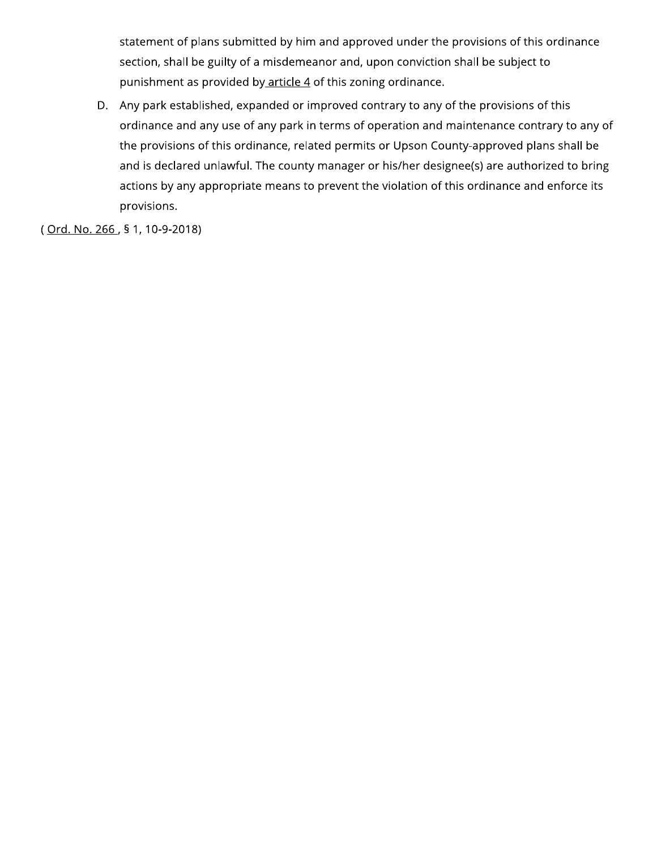statement of plans submitted by him and approved under the provisions of this ordinance section, shall be guilty of a misdemeanor and, upon conviction shall be subject to punishment as provided by article 4 of this zoning ordinance.

D. Any park established, expanded or improved contrary to any of the provisions of this ordinance and any use of any park in terms of operation and maintenance contrary to any of the provisions of this ordinance, related permits or Upson County-approved plans shall be and is declared unlawful. The county manager or his/her designee(s) are authorized to bring actions by any appropriate means to prevent the violation of this ordinance and enforce its provisions.

(Ord. No. 266, § 1, 10-9-2018)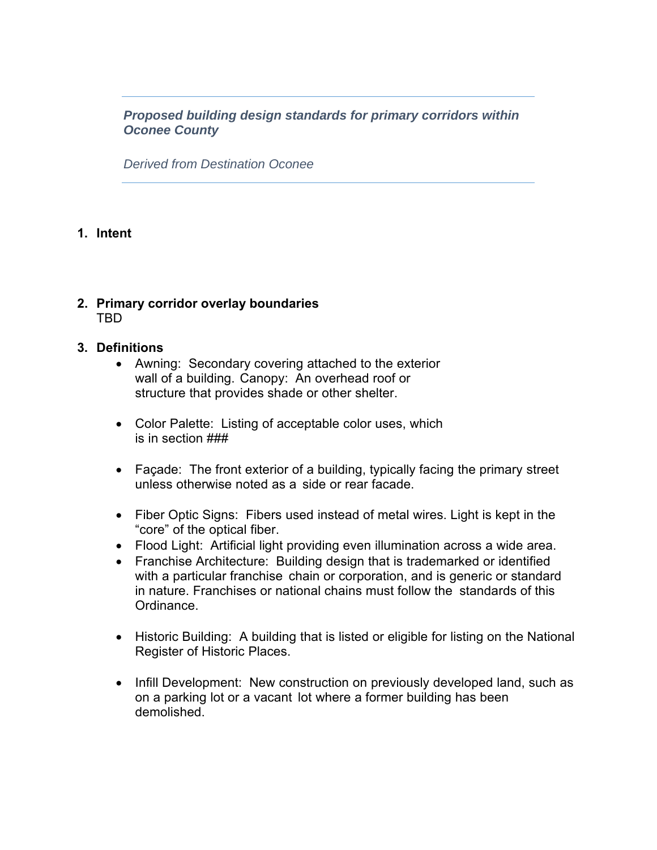*Proposed building design standards for primary corridors within Oconee County* 

*Derived from Destination Oconee* 

#### **1. Intent**

#### **2. Primary corridor overlay boundaries**  TBD

#### **3. Definitions**

- Awning: Secondary covering attached to the exterior wall of a building. Canopy: An overhead roof or structure that provides shade or other shelter.
- Color Palette: Listing of acceptable color uses, which is in section ###
- Façade: The front exterior of a building, typically facing the primary street unless otherwise noted as a side or rear facade.
- Fiber Optic Signs: Fibers used instead of metal wires. Light is kept in the "core" of the optical fiber.
- Flood Light: Artificial light providing even illumination across a wide area.
- Franchise Architecture: Building design that is trademarked or identified with a particular franchise chain or corporation, and is generic or standard in nature. Franchises or national chains must follow the standards of this Ordinance.
- Historic Building: A building that is listed or eligible for listing on the National Register of Historic Places.
- Infill Development: New construction on previously developed land, such as on a parking lot or a vacant lot where a former building has been demolished.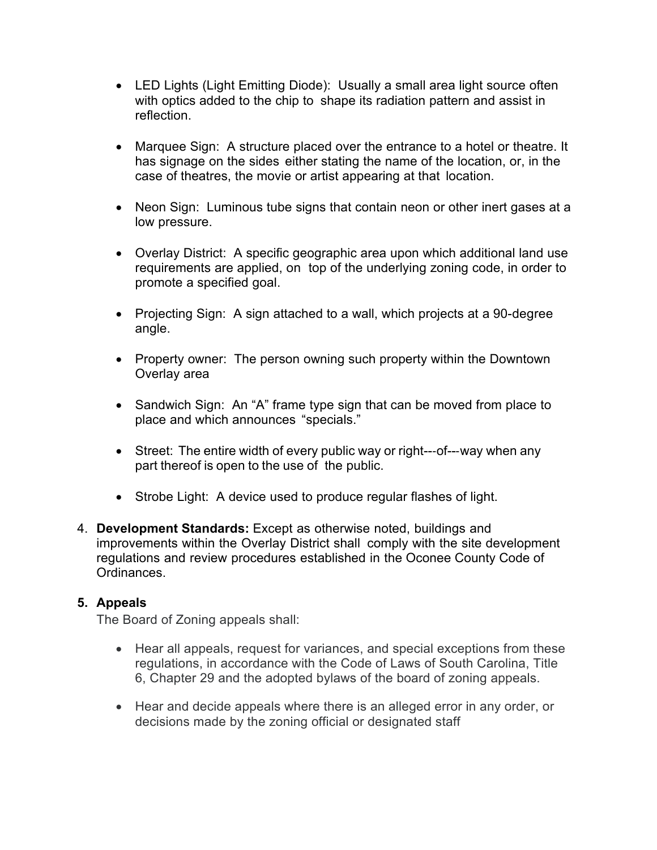- LED Lights (Light Emitting Diode): Usually a small area light source often with optics added to the chip to shape its radiation pattern and assist in reflection.
- Marquee Sign: A structure placed over the entrance to a hotel or theatre. It has signage on the sides either stating the name of the location, or, in the case of theatres, the movie or artist appearing at that location.
- Neon Sign: Luminous tube signs that contain neon or other inert gases at a low pressure.
- Overlay District: A specific geographic area upon which additional land use requirements are applied, on top of the underlying zoning code, in order to promote a specified goal.
- Projecting Sign: A sign attached to a wall, which projects at a 90-degree angle.
- Property owner: The person owning such property within the Downtown Overlay area
- Sandwich Sign: An "A" frame type sign that can be moved from place to place and which announces "specials."
- Street: The entire width of every public way or right---of---way when any part thereof is open to the use of the public.
- Strobe Light: A device used to produce regular flashes of light.
- 4. **Development Standards:** Except as otherwise noted, buildings and improvements within the Overlay District shall comply with the site development regulations and review procedures established in the Oconee County Code of **Ordinances**

#### **5. Appeals**

The Board of Zoning appeals shall:

- Hear all appeals, request for variances, and special exceptions from these regulations, in accordance with the Code of Laws of South Carolina, Title 6, Chapter 29 and the adopted bylaws of the board of zoning appeals.
- Hear and decide appeals where there is an alleged error in any order, or decisions made by the zoning official or designated staff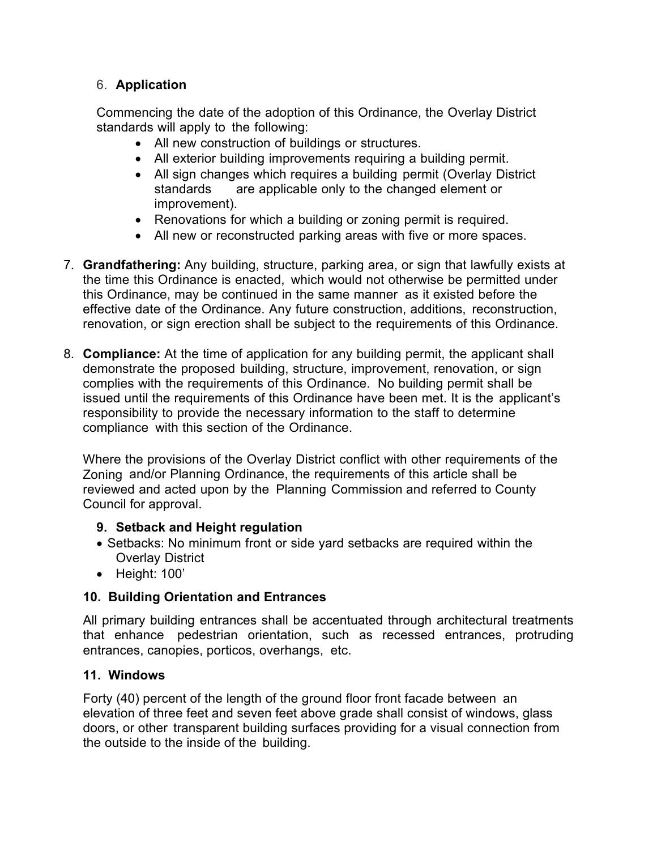#### 6. **Application**

Commencing the date of the adoption of this Ordinance, the Overlay District standards will apply to the following:

- All new construction of buildings or structures.
- All exterior building improvements requiring a building permit.
- All sign changes which requires a building permit (Overlay District standards are applicable only to the changed element or improvement).
- Renovations for which a building or zoning permit is required.
- All new or reconstructed parking areas with five or more spaces.
- 7. **Grandfathering:** Any building, structure, parking area, or sign that lawfully exists at the time this Ordinance is enacted, which would not otherwise be permitted under this Ordinance, may be continued in the same manner as it existed before the effective date of the Ordinance. Any future construction, additions, reconstruction, renovation, or sign erection shall be subject to the requirements of this Ordinance.
- 8. **Compliance:** At the time of application for any building permit, the applicant shall demonstrate the proposed building, structure, improvement, renovation, or sign complies with the requirements of this Ordinance. No building permit shall be issued until the requirements of this Ordinance have been met. It is the applicant's responsibility to provide the necessary information to the staff to determine compliance with this section of the Ordinance.

Where the provisions of the Overlay District conflict with other requirements of the Zoning and/or Planning Ordinance, the requirements of this article shall be reviewed and acted upon by the Planning Commission and referred to County Council for approval.

#### **9. Setback and Height regulation**

- Setbacks: No minimum front or side yard setbacks are required within the Overlay District
- Height: 100'

#### **10. Building Orientation and Entrances**

All primary building entrances shall be accentuated through architectural treatments that enhance pedestrian orientation, such as recessed entrances, protruding entrances, canopies, porticos, overhangs, etc.

#### **11. Windows**

Forty (40) percent of the length of the ground floor front facade between an elevation of three feet and seven feet above grade shall consist of windows, glass doors, or other transparent building surfaces providing for a visual connection from the outside to the inside of the building.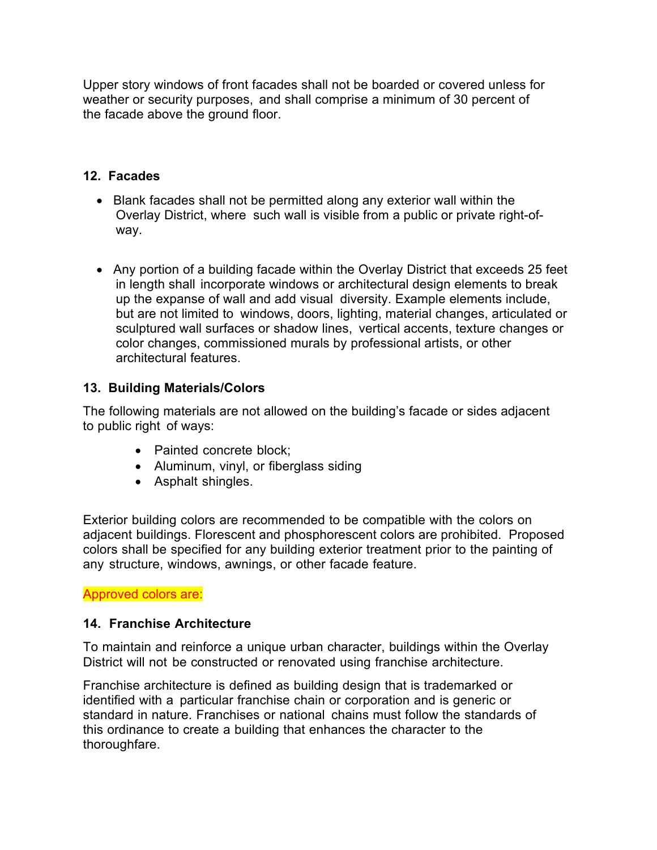Upper story windows of front facades shall not be boarded or covered unless for weather or security purposes, and shall comprise a minimum of 30 percent of the facade above the ground floor.

#### **12. Facades**

- Blank facades shall not be permitted along any exterior wall within the Overlay District, where such wall is visible from a public or private right-ofway.
- Any portion of a building facade within the Overlay District that exceeds 25 feet in length shall incorporate windows or architectural design elements to break up the expanse of wall and add visual diversity. Example elements include, but are not limited to windows, doors, lighting, material changes, articulated or sculptured wall surfaces or shadow lines, vertical accents, texture changes or color changes, commissioned murals by professional artists, or other architectural features.

#### **13. Building Materials/Colors**

The following materials are not allowed on the building's facade or sides adjacent to public right of ways:

- Painted concrete block:
- Aluminum, vinyl, or fiberglass siding
- Asphalt shingles.

Exterior building colors are recommended to be compatible with the colors on adjacent buildings. Florescent and phosphorescent colors are prohibited. Proposed colors shall be specified for any building exterior treatment prior to the painting of any structure, windows, awnings, or other facade feature.

Approved colors are:

#### **14. Franchise Architecture**

To maintain and reinforce a unique urban character, buildings within the Overlay District will not be constructed or renovated using franchise architecture.

Franchise architecture is defined as building design that is trademarked or identified with a particular franchise chain or corporation and is generic or standard in nature. Franchises or national chains must follow the standards of this ordinance to create a building that enhances the character to the thoroughfare.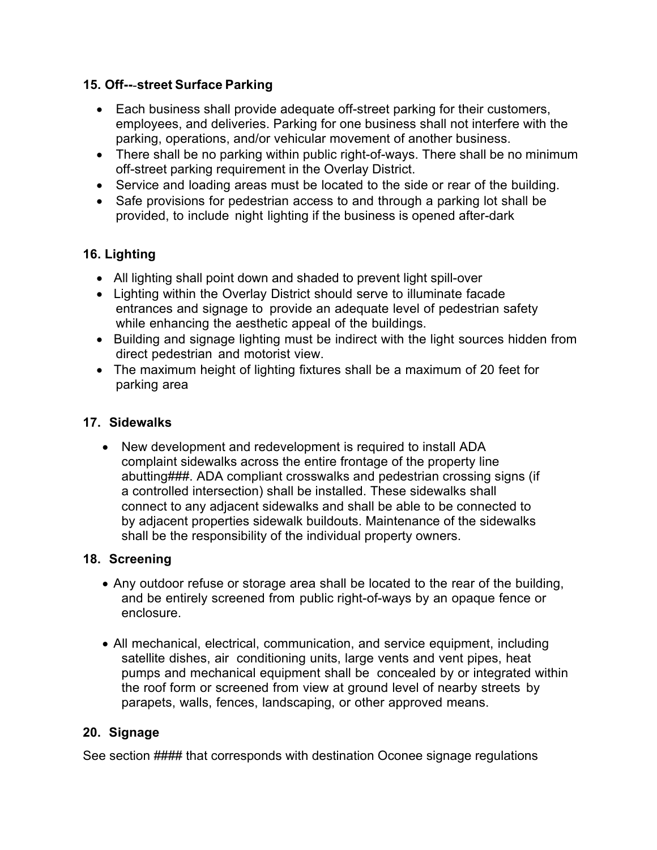#### **15. Off--**-**street Surface Parking**

- Each business shall provide adequate off-street parking for their customers, employees, and deliveries. Parking for one business shall not interfere with the parking, operations, and/or vehicular movement of another business.
- There shall be no parking within public right-of-ways. There shall be no minimum off-street parking requirement in the Overlay District.
- Service and loading areas must be located to the side or rear of the building.
- Safe provisions for pedestrian access to and through a parking lot shall be provided, to include night lighting if the business is opened after-dark

#### **16. Lighting**

- All lighting shall point down and shaded to prevent light spill-over
- Lighting within the Overlay District should serve to illuminate facade entrances and signage to provide an adequate level of pedestrian safety while enhancing the aesthetic appeal of the buildings.
- Building and signage lighting must be indirect with the light sources hidden from direct pedestrian and motorist view.
- The maximum height of lighting fixtures shall be a maximum of 20 feet for parking area

#### **17. Sidewalks**

 New development and redevelopment is required to install ADA complaint sidewalks across the entire frontage of the property line abutting###. ADA compliant crosswalks and pedestrian crossing signs (if a controlled intersection) shall be installed. These sidewalks shall connect to any adjacent sidewalks and shall be able to be connected to by adjacent properties sidewalk buildouts. Maintenance of the sidewalks shall be the responsibility of the individual property owners.

#### **18. Screening**

- Any outdoor refuse or storage area shall be located to the rear of the building, and be entirely screened from public right-of-ways by an opaque fence or enclosure.
- All mechanical, electrical, communication, and service equipment, including satellite dishes, air conditioning units, large vents and vent pipes, heat pumps and mechanical equipment shall be concealed by or integrated within the roof form or screened from view at ground level of nearby streets by parapets, walls, fences, landscaping, or other approved means.

#### **20. Signage**

See section #### that corresponds with destination Oconee signage regulations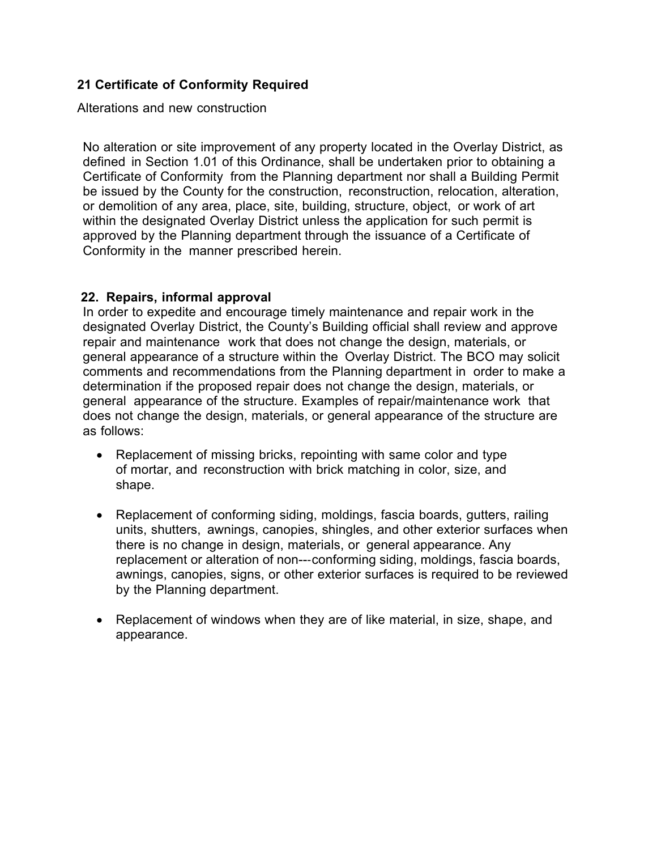#### **21 Certificate of Conformity Required**

Alterations and new construction

No alteration or site improvement of any property located in the Overlay District, as defined in Section 1.01 of this Ordinance, shall be undertaken prior to obtaining a Certificate of Conformity from the Planning department nor shall a Building Permit be issued by the County for the construction, reconstruction, relocation, alteration, or demolition of any area, place, site, building, structure, object, or work of art within the designated Overlay District unless the application for such permit is approved by the Planning department through the issuance of a Certificate of Conformity in the manner prescribed herein.

#### **22. Repairs, informal approval**

In order to expedite and encourage timely maintenance and repair work in the designated Overlay District, the County's Building official shall review and approve repair and maintenance work that does not change the design, materials, or general appearance of a structure within the Overlay District. The BCO may solicit comments and recommendations from the Planning department in order to make a determination if the proposed repair does not change the design, materials, or general appearance of the structure. Examples of repair/maintenance work that does not change the design, materials, or general appearance of the structure are as follows:

- Replacement of missing bricks, repointing with same color and type of mortar, and reconstruction with brick matching in color, size, and shape.
- Replacement of conforming siding, moldings, fascia boards, gutters, railing units, shutters, awnings, canopies, shingles, and other exterior surfaces when there is no change in design, materials, or general appearance. Any replacement or alteration of non---conforming siding, moldings, fascia boards, awnings, canopies, signs, or other exterior surfaces is required to be reviewed by the Planning department.
- Replacement of windows when they are of like material, in size, shape, and appearance.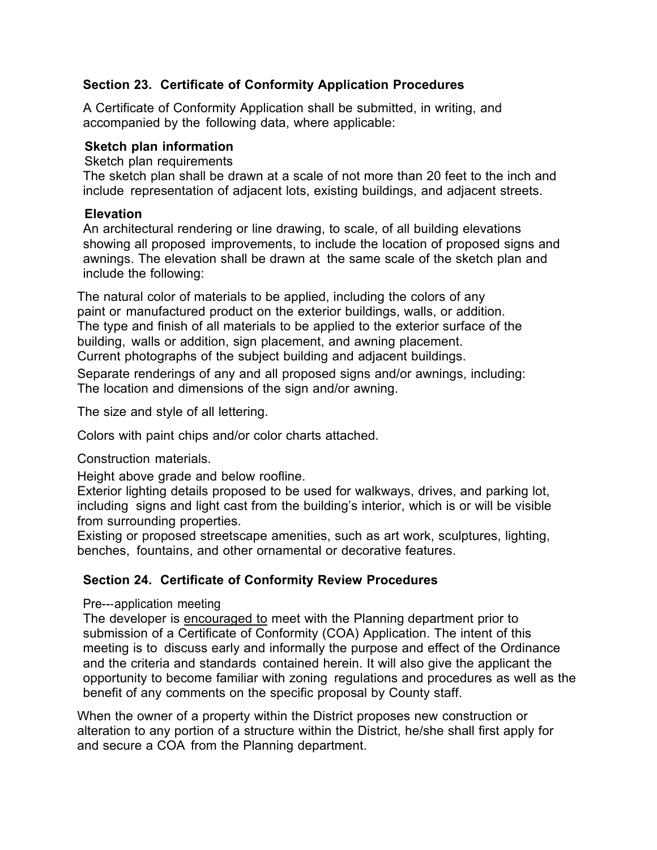#### **Section 23. Certificate of Conformity Application Procedures**

A Certificate of Conformity Application shall be submitted, in writing, and accompanied by the following data, where applicable:

#### **Sketch plan information**

Sketch plan requirements

The sketch plan shall be drawn at a scale of not more than 20 feet to the inch and include representation of adjacent lots, existing buildings, and adjacent streets.

#### **Elevation**

An architectural rendering or line drawing, to scale, of all building elevations showing all proposed improvements, to include the location of proposed signs and awnings. The elevation shall be drawn at the same scale of the sketch plan and include the following:

The natural color of materials to be applied, including the colors of any paint or manufactured product on the exterior buildings, walls, or addition. The type and finish of all materials to be applied to the exterior surface of the building, walls or addition, sign placement, and awning placement. Current photographs of the subject building and adjacent buildings.

Separate renderings of any and all proposed signs and/or awnings, including: The location and dimensions of the sign and/or awning.

The size and style of all lettering.

Colors with paint chips and/or color charts attached.

Construction materials.

Height above grade and below roofline.

Exterior lighting details proposed to be used for walkways, drives, and parking lot, including signs and light cast from the building's interior, which is or will be visible from surrounding properties.

Existing or proposed streetscape amenities, such as art work, sculptures, lighting, benches, fountains, and other ornamental or decorative features.

#### **Section 24. Certificate of Conformity Review Procedures**

#### Pre---application meeting

The developer is encouraged to meet with the Planning department prior to submission of a Certificate of Conformity (COA) Application. The intent of this meeting is to discuss early and informally the purpose and effect of the Ordinance and the criteria and standards contained herein. It will also give the applicant the opportunity to become familiar with zoning regulations and procedures as well as the benefit of any comments on the specific proposal by County staff.

When the owner of a property within the District proposes new construction or alteration to any portion of a structure within the District, he/she shall first apply for and secure a COA from the Planning department.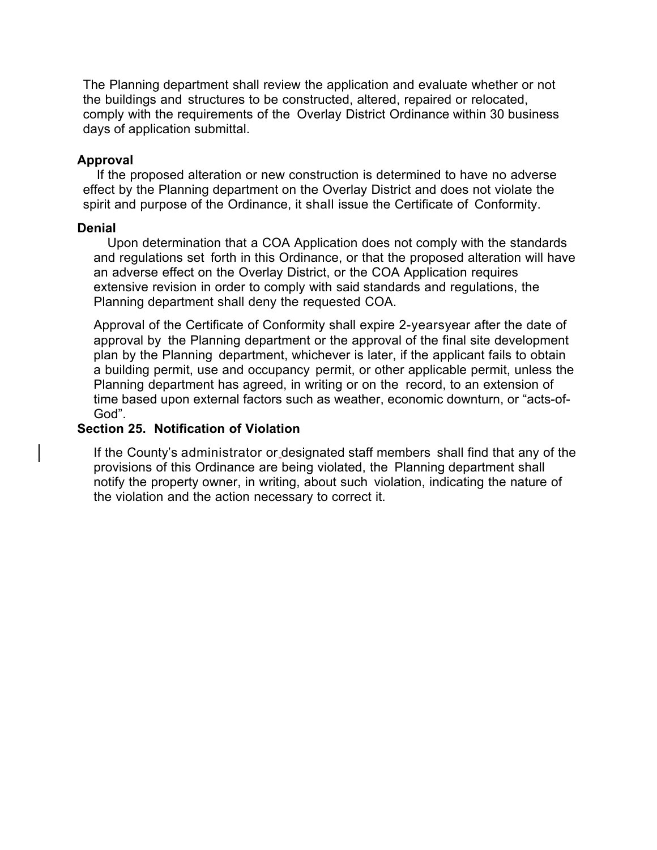The Planning department shall review the application and evaluate whether or not the buildings and structures to be constructed, altered, repaired or relocated, comply with the requirements of the Overlay District Ordinance within 30 business days of application submittal.

#### **Approval**

If the proposed alteration or new construction is determined to have no adverse effect by the Planning department on the Overlay District and does not violate the spirit and purpose of the Ordinance, it shall issue the Certificate of Conformity.

#### **Denial**

Upon determination that a COA Application does not comply with the standards and regulations set forth in this Ordinance, or that the proposed alteration will have an adverse effect on the Overlay District, or the COA Application requires extensive revision in order to comply with said standards and regulations, the Planning department shall deny the requested COA.

Approval of the Certificate of Conformity shall expire 2-yearsyear after the date of approval by the Planning department or the approval of the final site development plan by the Planning department, whichever is later, if the applicant fails to obtain a building permit, use and occupancy permit, or other applicable permit, unless the Planning department has agreed, in writing or on the record, to an extension of time based upon external factors such as weather, economic downturn, or "acts-of-God".

#### **Section 25. Notification of Violation**

If the County's administrator or designated staff members shall find that any of the provisions of this Ordinance are being violated, the Planning department shall notify the property owner, in writing, about such violation, indicating the nature of the violation and the action necessary to correct it.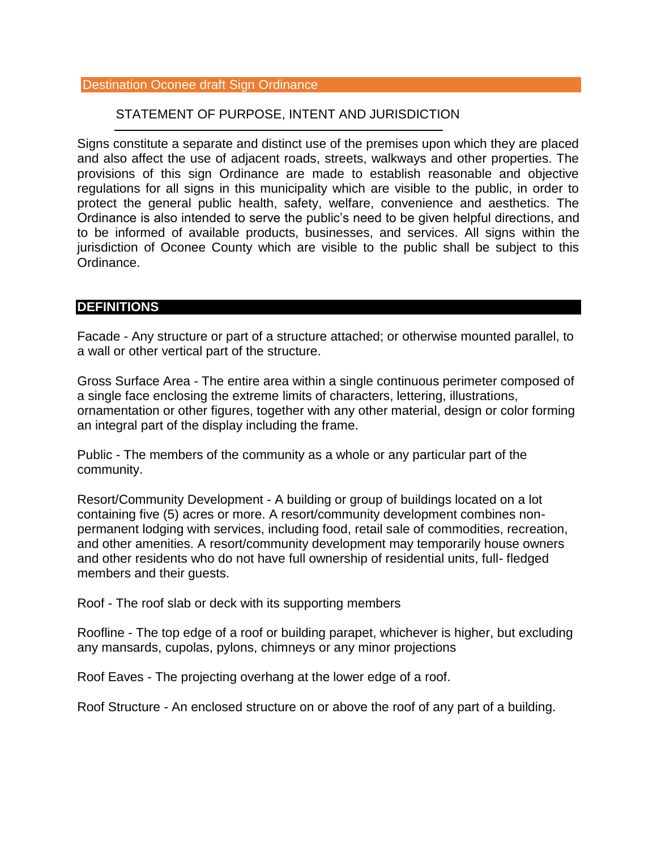#### Destination Oconee draft Sign Ordinance

#### STATEMENT OF PURPOSE, INTENT AND JURISDICTION

Signs constitute a separate and distinct use of the premises upon which they are placed and also affect the use of adjacent roads, streets, walkways and other properties. The provisions of this sign Ordinance are made to establish reasonable and objective regulations for all signs in this municipality which are visible to the public, in order to protect the general public health, safety, welfare, convenience and aesthetics. The Ordinance is also intended to serve the public's need to be given helpful directions, and to be informed of available products, businesses, and services. All signs within the jurisdiction of Oconee County which are visible to the public shall be subject to this Ordinance.

#### **DEFINITIONS**

Facade - Any structure or part of a structure attached; or otherwise mounted parallel, to a wall or other vertical part of the structure.

Gross Surface Area - The entire area within a single continuous perimeter composed of a single face enclosing the extreme limits of characters, lettering, illustrations, ornamentation or other figures, together with any other material, design or color forming an integral part of the display including the frame.

Public - The members of the community as a whole or any particular part of the community.

Resort/Community Development - A building or group of buildings located on a lot containing five (5) acres or more. A resort/community development combines nonpermanent lodging with services, including food, retail sale of commodities, recreation, and other amenities. A resort/community development may temporarily house owners and other residents who do not have full ownership of residential units, full- fledged members and their guests.

Roof - The roof slab or deck with its supporting members

Roofline - The top edge of a roof or building parapet, whichever is higher, but excluding any mansards, cupolas, pylons, chimneys or any minor projections

Roof Eaves - The projecting overhang at the lower edge of a roof.

Roof Structure - An enclosed structure on or above the roof of any part of a building.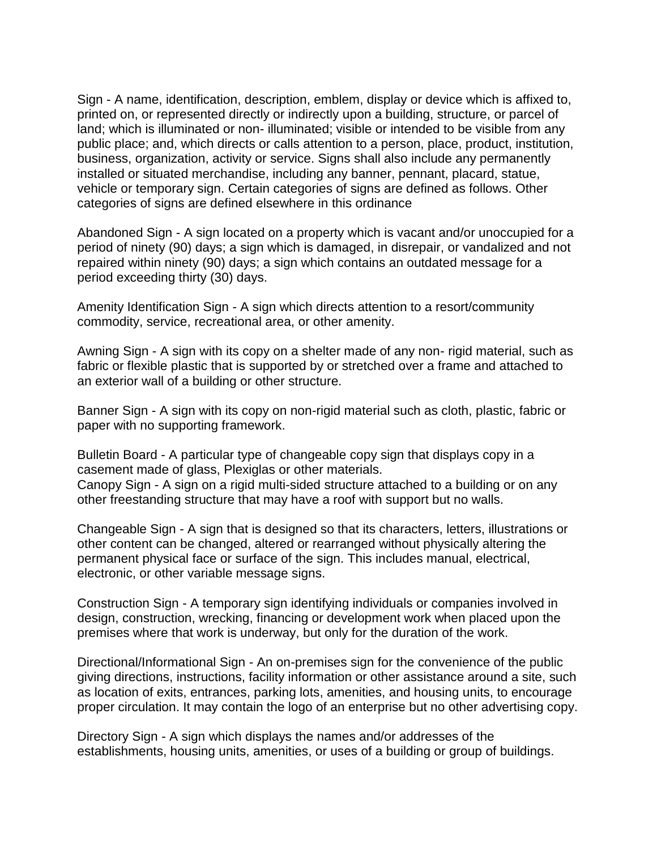Sign - A name, identification, description, emblem, display or device which is affixed to, printed on, or represented directly or indirectly upon a building, structure, or parcel of land; which is illuminated or non- illuminated; visible or intended to be visible from any public place; and, which directs or calls attention to a person, place, product, institution, business, organization, activity or service. Signs shall also include any permanently installed or situated merchandise, including any banner, pennant, placard, statue, vehicle or temporary sign. Certain categories of signs are defined as follows. Other categories of signs are defined elsewhere in this ordinance

Abandoned Sign - A sign located on a property which is vacant and/or unoccupied for a period of ninety (90) days; a sign which is damaged, in disrepair, or vandalized and not repaired within ninety (90) days; a sign which contains an outdated message for a period exceeding thirty (30) days.

Amenity Identification Sign - A sign which directs attention to a resort/community commodity, service, recreational area, or other amenity.

Awning Sign - A sign with its copy on a shelter made of any non- rigid material, such as fabric or flexible plastic that is supported by or stretched over a frame and attached to an exterior wall of a building or other structure.

Banner Sign - A sign with its copy on non-rigid material such as cloth, plastic, fabric or paper with no supporting framework.

Bulletin Board - A particular type of changeable copy sign that displays copy in a casement made of glass, Plexiglas or other materials.

Canopy Sign - A sign on a rigid multi-sided structure attached to a building or on any other freestanding structure that may have a roof with support but no walls.

Changeable Sign - A sign that is designed so that its characters, letters, illustrations or other content can be changed, altered or rearranged without physically altering the permanent physical face or surface of the sign. This includes manual, electrical, electronic, or other variable message signs.

Construction Sign - A temporary sign identifying individuals or companies involved in design, construction, wrecking, financing or development work when placed upon the premises where that work is underway, but only for the duration of the work.

Directional/Informational Sign - An on-premises sign for the convenience of the public giving directions, instructions, facility information or other assistance around a site, such as location of exits, entrances, parking lots, amenities, and housing units, to encourage proper circulation. It may contain the logo of an enterprise but no other advertising copy.

Directory Sign - A sign which displays the names and/or addresses of the establishments, housing units, amenities, or uses of a building or group of buildings.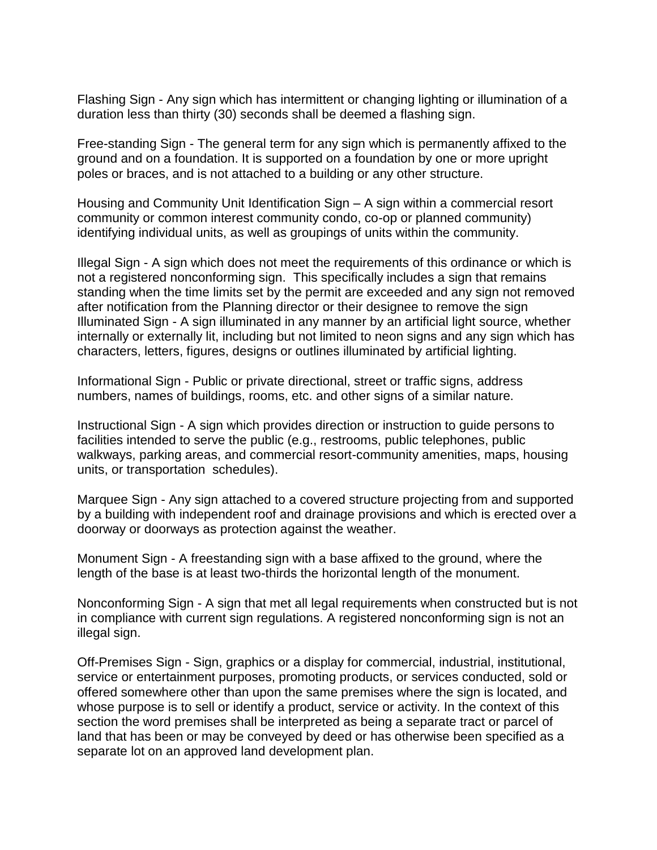Flashing Sign - Any sign which has intermittent or changing lighting or illumination of a duration less than thirty (30) seconds shall be deemed a flashing sign.

Free-standing Sign - The general term for any sign which is permanently affixed to the ground and on a foundation. It is supported on a foundation by one or more upright poles or braces, and is not attached to a building or any other structure.

Housing and Community Unit Identification Sign – A sign within a commercial resort community or common interest community condo, co-op or planned community) identifying individual units, as well as groupings of units within the community.

Illegal Sign - A sign which does not meet the requirements of this ordinance or which is not a registered nonconforming sign. This specifically includes a sign that remains standing when the time limits set by the permit are exceeded and any sign not removed after notification from the Planning director or their designee to remove the sign Illuminated Sign - A sign illuminated in any manner by an artificial light source, whether internally or externally lit, including but not limited to neon signs and any sign which has characters, letters, figures, designs or outlines illuminated by artificial lighting.

Informational Sign - Public or private directional, street or traffic signs, address numbers, names of buildings, rooms, etc. and other signs of a similar nature.

Instructional Sign - A sign which provides direction or instruction to guide persons to facilities intended to serve the public (e.g., restrooms, public telephones, public walkways, parking areas, and commercial resort-community amenities, maps, housing units, or transportation schedules).

Marquee Sign - Any sign attached to a covered structure projecting from and supported by a building with independent roof and drainage provisions and which is erected over a doorway or doorways as protection against the weather.

Monument Sign - A freestanding sign with a base affixed to the ground, where the length of the base is at least two-thirds the horizontal length of the monument.

Nonconforming Sign - A sign that met all legal requirements when constructed but is not in compliance with current sign regulations. A registered nonconforming sign is not an illegal sign.

Off-Premises Sign - Sign, graphics or a display for commercial, industrial, institutional, service or entertainment purposes, promoting products, or services conducted, sold or offered somewhere other than upon the same premises where the sign is located, and whose purpose is to sell or identify a product, service or activity. In the context of this section the word premises shall be interpreted as being a separate tract or parcel of land that has been or may be conveyed by deed or has otherwise been specified as a separate lot on an approved land development plan.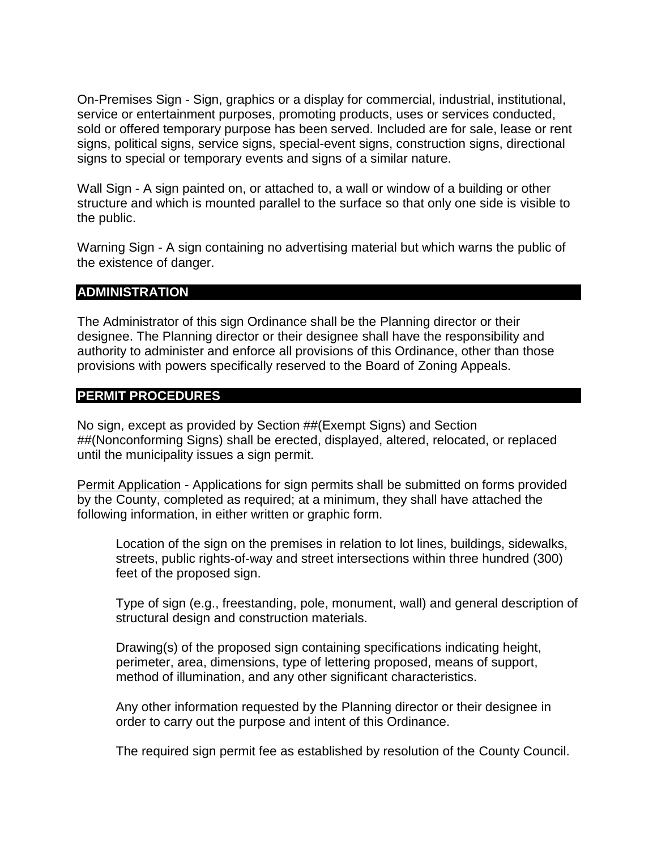On-Premises Sign - Sign, graphics or a display for commercial, industrial, institutional, service or entertainment purposes, promoting products, uses or services conducted, sold or offered temporary purpose has been served. Included are for sale, lease or rent signs, political signs, service signs, special-event signs, construction signs, directional signs to special or temporary events and signs of a similar nature.

Wall Sign - A sign painted on, or attached to, a wall or window of a building or other structure and which is mounted parallel to the surface so that only one side is visible to the public.

Warning Sign - A sign containing no advertising material but which warns the public of the existence of danger.

#### **ADMINISTRATION**

The Administrator of this sign Ordinance shall be the Planning director or their designee. The Planning director or their designee shall have the responsibility and authority to administer and enforce all provisions of this Ordinance, other than those provisions with powers specifically reserved to the Board of Zoning Appeals.

#### **PERMIT PROCEDURES**

No sign, except as provided by Section ##(Exempt Signs) and Section ##(Nonconforming Signs) shall be erected, displayed, altered, relocated, or replaced until the municipality issues a sign permit.

Permit Application - Applications for sign permits shall be submitted on forms provided by the County, completed as required; at a minimum, they shall have attached the following information, in either written or graphic form.

Location of the sign on the premises in relation to lot lines, buildings, sidewalks, streets, public rights-of-way and street intersections within three hundred (300) feet of the proposed sign.

Type of sign (e.g., freestanding, pole, monument, wall) and general description of structural design and construction materials.

Drawing(s) of the proposed sign containing specifications indicating height, perimeter, area, dimensions, type of lettering proposed, means of support, method of illumination, and any other significant characteristics.

Any other information requested by the Planning director or their designee in order to carry out the purpose and intent of this Ordinance.

The required sign permit fee as established by resolution of the County Council.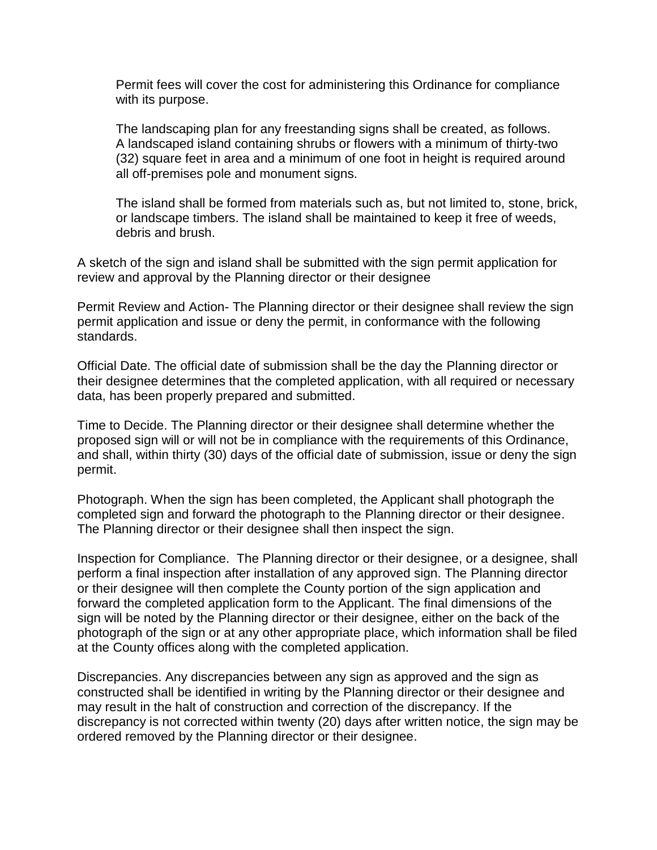Permit fees will cover the cost for administering this Ordinance for compliance with its purpose.

The landscaping plan for any freestanding signs shall be created, as follows. A landscaped island containing shrubs or flowers with a minimum of thirty-two (32) square feet in area and a minimum of one foot in height is required around all off-premises pole and monument signs.

The island shall be formed from materials such as, but not limited to, stone, brick, or landscape timbers. The island shall be maintained to keep it free of weeds, debris and brush.

A sketch of the sign and island shall be submitted with the sign permit application for review and approval by the Planning director or their designee

Permit Review and Action- The Planning director or their designee shall review the sign permit application and issue or deny the permit, in conformance with the following standards.

Official Date. The official date of submission shall be the day the Planning director or their designee determines that the completed application, with all required or necessary data, has been properly prepared and submitted.

Time to Decide. The Planning director or their designee shall determine whether the proposed sign will or will not be in compliance with the requirements of this Ordinance, and shall, within thirty (30) days of the official date of submission, issue or deny the sign permit.

Photograph. When the sign has been completed, the Applicant shall photograph the completed sign and forward the photograph to the Planning director or their designee. The Planning director or their designee shall then inspect the sign.

Inspection for Compliance. The Planning director or their designee, or a designee, shall perform a final inspection after installation of any approved sign. The Planning director or their designee will then complete the County portion of the sign application and forward the completed application form to the Applicant. The final dimensions of the sign will be noted by the Planning director or their designee, either on the back of the photograph of the sign or at any other appropriate place, which information shall be filed at the County offices along with the completed application.

Discrepancies. Any discrepancies between any sign as approved and the sign as constructed shall be identified in writing by the Planning director or their designee and may result in the halt of construction and correction of the discrepancy. If the discrepancy is not corrected within twenty (20) days after written notice, the sign may be ordered removed by the Planning director or their designee.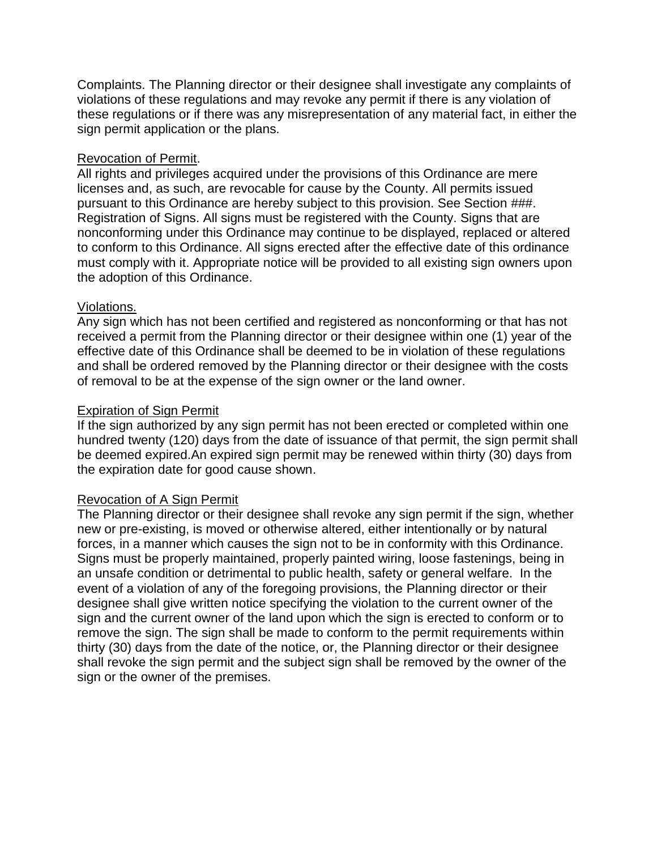Complaints. The Planning director or their designee shall investigate any complaints of violations of these regulations and may revoke any permit if there is any violation of these regulations or if there was any misrepresentation of any material fact, in either the sign permit application or the plans.

#### Revocation of Permit.

All rights and privileges acquired under the provisions of this Ordinance are mere licenses and, as such, are revocable for cause by the County. All permits issued pursuant to this Ordinance are hereby subject to this provision. See Section ###. Registration of Signs. All signs must be registered with the County. Signs that are nonconforming under this Ordinance may continue to be displayed, replaced or altered to conform to this Ordinance. All signs erected after the effective date of this ordinance must comply with it. Appropriate notice will be provided to all existing sign owners upon the adoption of this Ordinance.

#### Violations.

Any sign which has not been certified and registered as nonconforming or that has not received a permit from the Planning director or their designee within one (1) year of the effective date of this Ordinance shall be deemed to be in violation of these regulations and shall be ordered removed by the Planning director or their designee with the costs of removal to be at the expense of the sign owner or the land owner.

#### Expiration of Sign Permit

If the sign authorized by any sign permit has not been erected or completed within one hundred twenty (120) days from the date of issuance of that permit, the sign permit shall be deemed expired.An expired sign permit may be renewed within thirty (30) days from the expiration date for good cause shown.

#### Revocation of A Sign Permit

The Planning director or their designee shall revoke any sign permit if the sign, whether new or pre-existing, is moved or otherwise altered, either intentionally or by natural forces, in a manner which causes the sign not to be in conformity with this Ordinance. Signs must be properly maintained, properly painted wiring, loose fastenings, being in an unsafe condition or detrimental to public health, safety or general welfare. In the event of a violation of any of the foregoing provisions, the Planning director or their designee shall give written notice specifying the violation to the current owner of the sign and the current owner of the land upon which the sign is erected to conform or to remove the sign. The sign shall be made to conform to the permit requirements within thirty (30) days from the date of the notice, or, the Planning director or their designee shall revoke the sign permit and the subject sign shall be removed by the owner of the sign or the owner of the premises.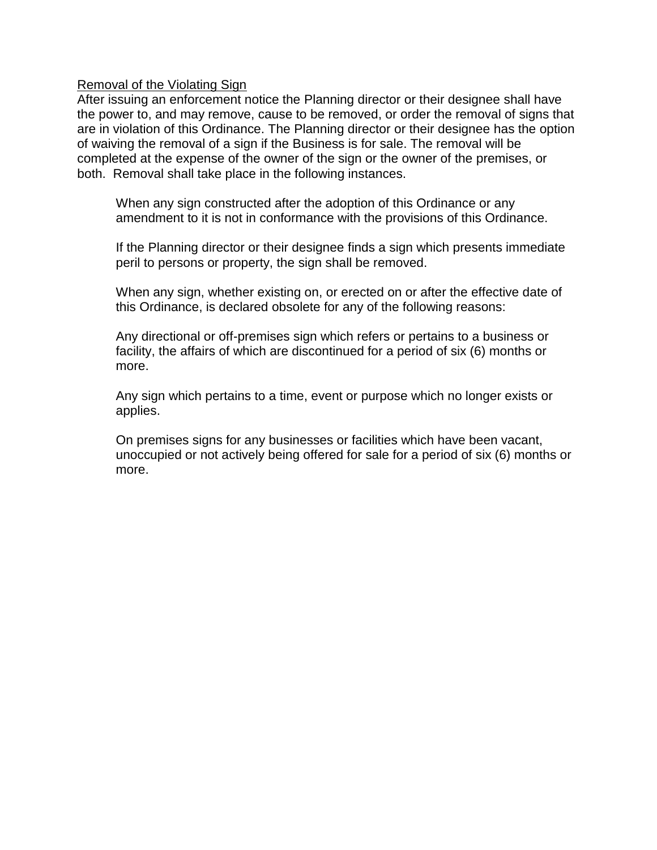#### Removal of the Violating Sign

After issuing an enforcement notice the Planning director or their designee shall have the power to, and may remove, cause to be removed, or order the removal of signs that are in violation of this Ordinance. The Planning director or their designee has the option of waiving the removal of a sign if the Business is for sale. The removal will be completed at the expense of the owner of the sign or the owner of the premises, or both. Removal shall take place in the following instances.

When any sign constructed after the adoption of this Ordinance or any amendment to it is not in conformance with the provisions of this Ordinance.

If the Planning director or their designee finds a sign which presents immediate peril to persons or property, the sign shall be removed.

When any sign, whether existing on, or erected on or after the effective date of this Ordinance, is declared obsolete for any of the following reasons:

Any directional or off-premises sign which refers or pertains to a business or facility, the affairs of which are discontinued for a period of six (6) months or more.

Any sign which pertains to a time, event or purpose which no longer exists or applies.

On premises signs for any businesses or facilities which have been vacant, unoccupied or not actively being offered for sale for a period of six (6) months or more.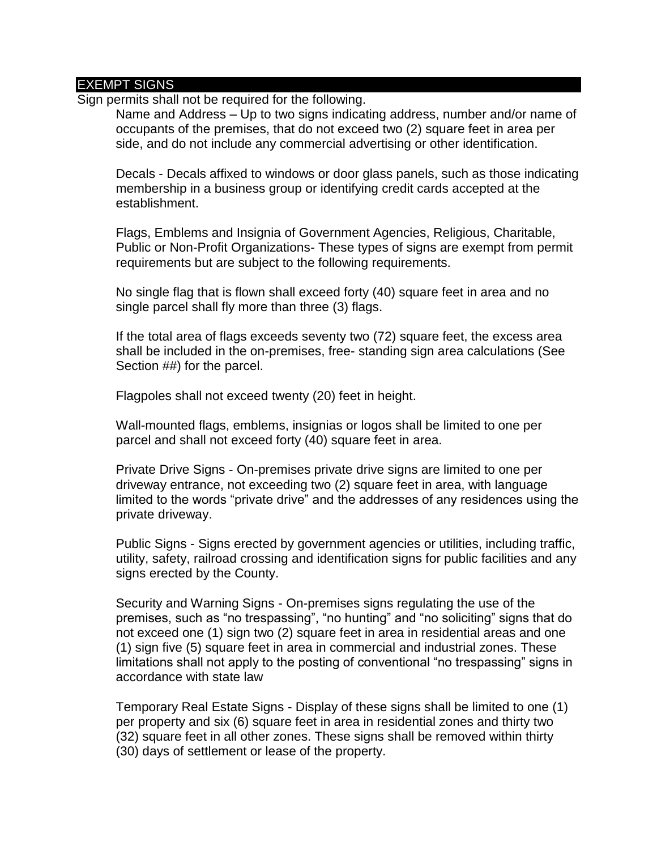#### EXEMPT SIGNS

Sign permits shall not be required for the following.

Name and Address – Up to two signs indicating address, number and/or name of occupants of the premises, that do not exceed two (2) square feet in area per side, and do not include any commercial advertising or other identification.

Decals - Decals affixed to windows or door glass panels, such as those indicating membership in a business group or identifying credit cards accepted at the establishment.

Flags, Emblems and Insignia of Government Agencies, Religious, Charitable, Public or Non-Profit Organizations- These types of signs are exempt from permit requirements but are subject to the following requirements.

No single flag that is flown shall exceed forty (40) square feet in area and no single parcel shall fly more than three (3) flags.

If the total area of flags exceeds seventy two (72) square feet, the excess area shall be included in the on-premises, free- standing sign area calculations (See Section ##) for the parcel.

Flagpoles shall not exceed twenty (20) feet in height.

Wall-mounted flags, emblems, insignias or logos shall be limited to one per parcel and shall not exceed forty (40) square feet in area.

Private Drive Signs - On-premises private drive signs are limited to one per driveway entrance, not exceeding two (2) square feet in area, with language limited to the words "private drive" and the addresses of any residences using the private driveway.

Public Signs - Signs erected by government agencies or utilities, including traffic, utility, safety, railroad crossing and identification signs for public facilities and any signs erected by the County.

Security and Warning Signs - On-premises signs regulating the use of the premises, such as "no trespassing", "no hunting" and "no soliciting" signs that do not exceed one (1) sign two (2) square feet in area in residential areas and one (1) sign five (5) square feet in area in commercial and industrial zones. These limitations shall not apply to the posting of conventional "no trespassing" signs in accordance with state law

Temporary Real Estate Signs - Display of these signs shall be limited to one (1) per property and six (6) square feet in area in residential zones and thirty two (32) square feet in all other zones. These signs shall be removed within thirty (30) days of settlement or lease of the property.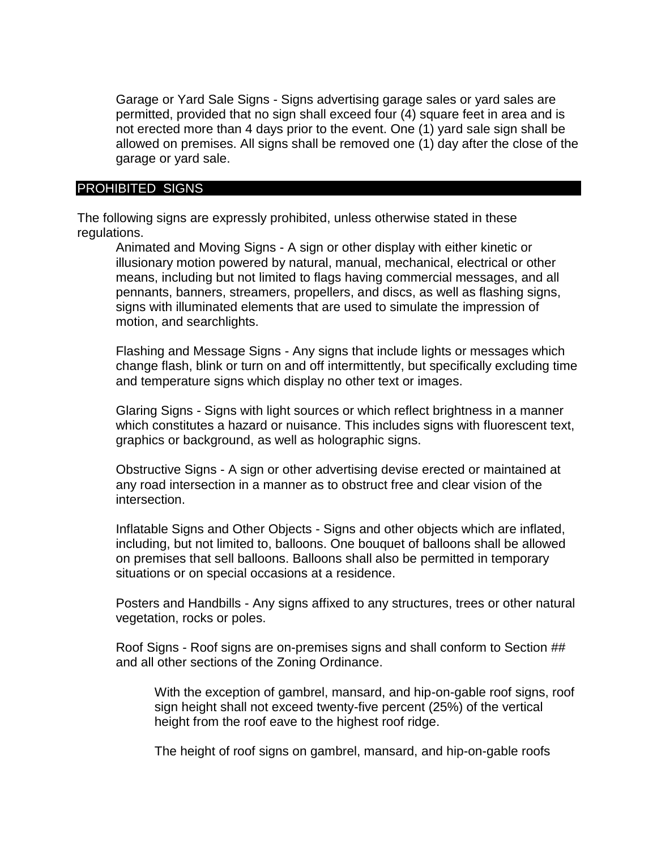Garage or Yard Sale Signs - Signs advertising garage sales or yard sales are permitted, provided that no sign shall exceed four (4) square feet in area and is not erected more than 4 days prior to the event. One (1) yard sale sign shall be allowed on premises. All signs shall be removed one (1) day after the close of the garage or yard sale.

#### PROHIBITED SIGNS

The following signs are expressly prohibited, unless otherwise stated in these regulations.

Animated and Moving Signs - A sign or other display with either kinetic or illusionary motion powered by natural, manual, mechanical, electrical or other means, including but not limited to flags having commercial messages, and all pennants, banners, streamers, propellers, and discs, as well as flashing signs, signs with illuminated elements that are used to simulate the impression of motion, and searchlights.

Flashing and Message Signs - Any signs that include lights or messages which change flash, blink or turn on and off intermittently, but specifically excluding time and temperature signs which display no other text or images.

Glaring Signs - Signs with light sources or which reflect brightness in a manner which constitutes a hazard or nuisance. This includes signs with fluorescent text, graphics or background, as well as holographic signs.

Obstructive Signs - A sign or other advertising devise erected or maintained at any road intersection in a manner as to obstruct free and clear vision of the intersection.

Inflatable Signs and Other Objects - Signs and other objects which are inflated, including, but not limited to, balloons. One bouquet of balloons shall be allowed on premises that sell balloons. Balloons shall also be permitted in temporary situations or on special occasions at a residence.

Posters and Handbills - Any signs affixed to any structures, trees or other natural vegetation, rocks or poles.

Roof Signs - Roof signs are on-premises signs and shall conform to Section ## and all other sections of the Zoning Ordinance.

With the exception of gambrel, mansard, and hip-on-gable roof signs, roof sign height shall not exceed twenty-five percent (25%) of the vertical height from the roof eave to the highest roof ridge.

The height of roof signs on gambrel, mansard, and hip-on-gable roofs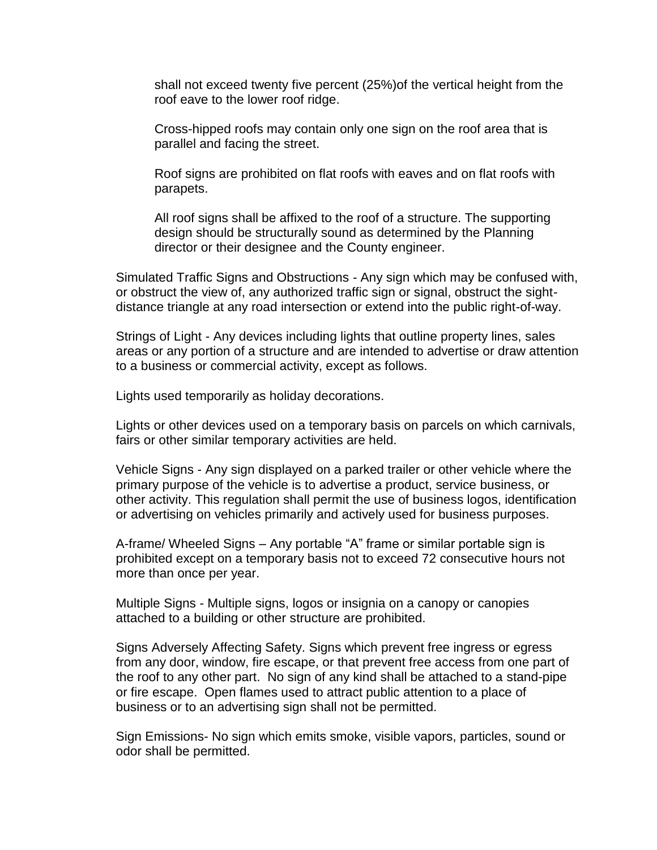shall not exceed twenty five percent (25%)of the vertical height from the roof eave to the lower roof ridge.

Cross-hipped roofs may contain only one sign on the roof area that is parallel and facing the street.

Roof signs are prohibited on flat roofs with eaves and on flat roofs with parapets.

All roof signs shall be affixed to the roof of a structure. The supporting design should be structurally sound as determined by the Planning director or their designee and the County engineer.

Simulated Traffic Signs and Obstructions - Any sign which may be confused with, or obstruct the view of, any authorized traffic sign or signal, obstruct the sightdistance triangle at any road intersection or extend into the public right-of-way.

Strings of Light - Any devices including lights that outline property lines, sales areas or any portion of a structure and are intended to advertise or draw attention to a business or commercial activity, except as follows.

Lights used temporarily as holiday decorations.

Lights or other devices used on a temporary basis on parcels on which carnivals, fairs or other similar temporary activities are held.

Vehicle Signs - Any sign displayed on a parked trailer or other vehicle where the primary purpose of the vehicle is to advertise a product, service business, or other activity. This regulation shall permit the use of business logos, identification or advertising on vehicles primarily and actively used for business purposes.

A-frame/ Wheeled Signs – Any portable "A" frame or similar portable sign is prohibited except on a temporary basis not to exceed 72 consecutive hours not more than once per year.

Multiple Signs - Multiple signs, logos or insignia on a canopy or canopies attached to a building or other structure are prohibited.

Signs Adversely Affecting Safety. Signs which prevent free ingress or egress from any door, window, fire escape, or that prevent free access from one part of the roof to any other part. No sign of any kind shall be attached to a stand-pipe or fire escape. Open flames used to attract public attention to a place of business or to an advertising sign shall not be permitted.

Sign Emissions- No sign which emits smoke, visible vapors, particles, sound or odor shall be permitted.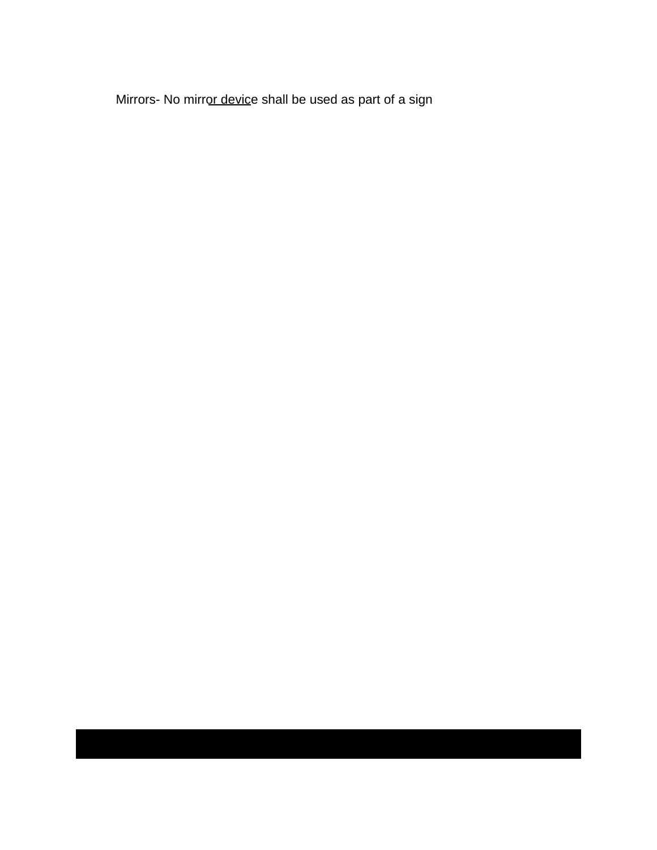Mirrors- No mirror device shall be used as part of a sign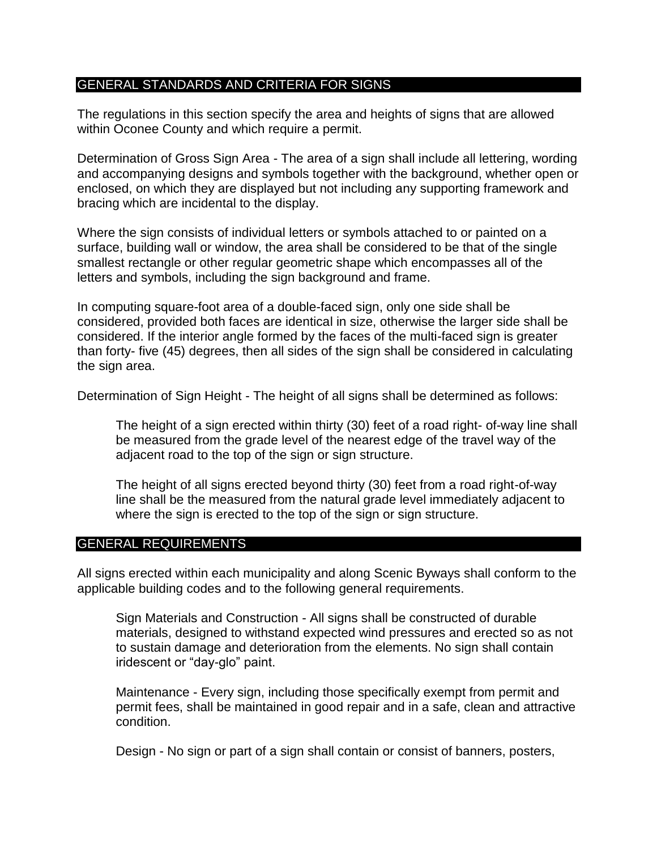#### GENERAL STANDARDS AND CRITERIA FOR SIGNS

The regulations in this section specify the area and heights of signs that are allowed within Oconee County and which require a permit.

Determination of Gross Sign Area - The area of a sign shall include all lettering, wording and accompanying designs and symbols together with the background, whether open or enclosed, on which they are displayed but not including any supporting framework and bracing which are incidental to the display.

Where the sign consists of individual letters or symbols attached to or painted on a surface, building wall or window, the area shall be considered to be that of the single smallest rectangle or other regular geometric shape which encompasses all of the letters and symbols, including the sign background and frame.

In computing square-foot area of a double-faced sign, only one side shall be considered, provided both faces are identical in size, otherwise the larger side shall be considered. If the interior angle formed by the faces of the multi-faced sign is greater than forty- five (45) degrees, then all sides of the sign shall be considered in calculating the sign area.

Determination of Sign Height - The height of all signs shall be determined as follows:

The height of a sign erected within thirty (30) feet of a road right- of-way line shall be measured from the grade level of the nearest edge of the travel way of the adjacent road to the top of the sign or sign structure.

The height of all signs erected beyond thirty (30) feet from a road right-of-way line shall be the measured from the natural grade level immediately adjacent to where the sign is erected to the top of the sign or sign structure.

#### GENERAL REQUIREMENTS

All signs erected within each municipality and along Scenic Byways shall conform to the applicable building codes and to the following general requirements.

Sign Materials and Construction - All signs shall be constructed of durable materials, designed to withstand expected wind pressures and erected so as not to sustain damage and deterioration from the elements. No sign shall contain iridescent or "day-glo" paint.

Maintenance - Every sign, including those specifically exempt from permit and permit fees, shall be maintained in good repair and in a safe, clean and attractive condition.

Design - No sign or part of a sign shall contain or consist of banners, posters,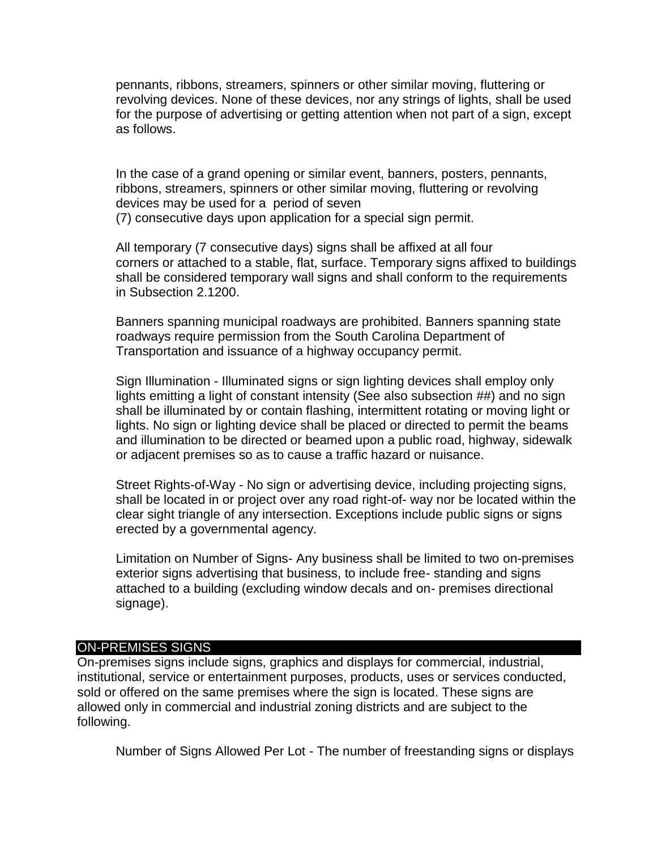pennants, ribbons, streamers, spinners or other similar moving, fluttering or revolving devices. None of these devices, nor any strings of lights, shall be used for the purpose of advertising or getting attention when not part of a sign, except as follows.

In the case of a grand opening or similar event, banners, posters, pennants, ribbons, streamers, spinners or other similar moving, fluttering or revolving devices may be used for a period of seven (7) consecutive days upon application for a special sign permit.

All temporary (7 consecutive days) signs shall be affixed at all four corners or attached to a stable, flat, surface. Temporary signs affixed to buildings shall be considered temporary wall signs and shall conform to the requirements in Subsection 2.1200.

Banners spanning municipal roadways are prohibited. Banners spanning state roadways require permission from the South Carolina Department of Transportation and issuance of a highway occupancy permit.

Sign Illumination - Illuminated signs or sign lighting devices shall employ only lights emitting a light of constant intensity (See also subsection ##) and no sign shall be illuminated by or contain flashing, intermittent rotating or moving light or lights. No sign or lighting device shall be placed or directed to permit the beams and illumination to be directed or beamed upon a public road, highway, sidewalk or adjacent premises so as to cause a traffic hazard or nuisance.

Street Rights-of-Way - No sign or advertising device, including projecting signs, shall be located in or project over any road right-of- way nor be located within the clear sight triangle of any intersection. Exceptions include public signs or signs erected by a governmental agency.

Limitation on Number of Signs- Any business shall be limited to two on-premises exterior signs advertising that business, to include free- standing and signs attached to a building (excluding window decals and on- premises directional signage).

#### ON-PREMISES SIGNS

On-premises signs include signs, graphics and displays for commercial, industrial, institutional, service or entertainment purposes, products, uses or services conducted, sold or offered on the same premises where the sign is located. These signs are allowed only in commercial and industrial zoning districts and are subject to the following.

Number of Signs Allowed Per Lot - The number of freestanding signs or displays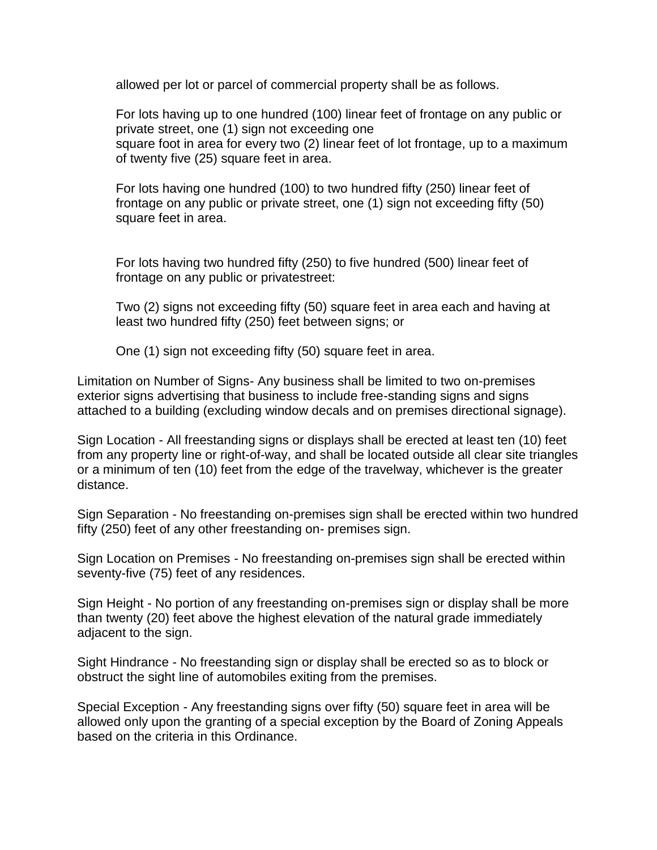allowed per lot or parcel of commercial property shall be as follows.

For lots having up to one hundred (100) linear feet of frontage on any public or private street, one (1) sign not exceeding one square foot in area for every two (2) linear feet of lot frontage, up to a maximum of twenty five (25) square feet in area.

For lots having one hundred (100) to two hundred fifty (250) linear feet of frontage on any public or private street, one (1) sign not exceeding fifty (50) square feet in area.

For lots having two hundred fifty (250) to five hundred (500) linear feet of frontage on any public or privatestreet:

Two (2) signs not exceeding fifty (50) square feet in area each and having at least two hundred fifty (250) feet between signs; or

One (1) sign not exceeding fifty (50) square feet in area.

Limitation on Number of Signs- Any business shall be limited to two on-premises exterior signs advertising that business to include free-standing signs and signs attached to a building (excluding window decals and on premises directional signage).

Sign Location - All freestanding signs or displays shall be erected at least ten (10) feet from any property line or right-of-way, and shall be located outside all clear site triangles or a minimum of ten (10) feet from the edge of the travelway, whichever is the greater distance.

Sign Separation - No freestanding on-premises sign shall be erected within two hundred fifty (250) feet of any other freestanding on- premises sign.

Sign Location on Premises - No freestanding on-premises sign shall be erected within seventy-five (75) feet of any residences.

Sign Height - No portion of any freestanding on-premises sign or display shall be more than twenty (20) feet above the highest elevation of the natural grade immediately adjacent to the sign.

Sight Hindrance - No freestanding sign or display shall be erected so as to block or obstruct the sight line of automobiles exiting from the premises.

Special Exception - Any freestanding signs over fifty (50) square feet in area will be allowed only upon the granting of a special exception by the Board of Zoning Appeals based on the criteria in this Ordinance.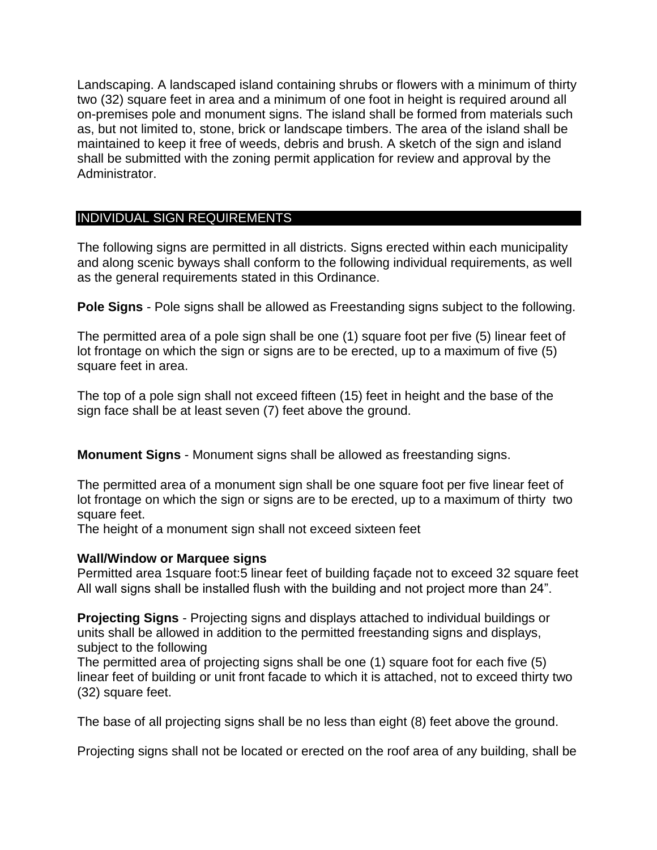Landscaping. A landscaped island containing shrubs or flowers with a minimum of thirty two (32) square feet in area and a minimum of one foot in height is required around all on-premises pole and monument signs. The island shall be formed from materials such as, but not limited to, stone, brick or landscape timbers. The area of the island shall be maintained to keep it free of weeds, debris and brush. A sketch of the sign and island shall be submitted with the zoning permit application for review and approval by the Administrator.

#### INDIVIDUAL SIGN REQUIREMENTS

The following signs are permitted in all districts. Signs erected within each municipality and along scenic byways shall conform to the following individual requirements, as well as the general requirements stated in this Ordinance.

**Pole Signs** - Pole signs shall be allowed as Freestanding signs subject to the following.

The permitted area of a pole sign shall be one (1) square foot per five (5) linear feet of lot frontage on which the sign or signs are to be erected, up to a maximum of five (5) square feet in area.

The top of a pole sign shall not exceed fifteen (15) feet in height and the base of the sign face shall be at least seven (7) feet above the ground.

**Monument Signs** - Monument signs shall be allowed as freestanding signs.

The permitted area of a monument sign shall be one square foot per five linear feet of lot frontage on which the sign or signs are to be erected, up to a maximum of thirty two square feet.

The height of a monument sign shall not exceed sixteen feet

#### **Wall/Window or Marquee signs**

Permitted area 1square foot:5 linear feet of building façade not to exceed 32 square feet All wall signs shall be installed flush with the building and not project more than 24".

**Projecting Signs** - Projecting signs and displays attached to individual buildings or units shall be allowed in addition to the permitted freestanding signs and displays, subject to the following

The permitted area of projecting signs shall be one (1) square foot for each five (5) linear feet of building or unit front facade to which it is attached, not to exceed thirty two (32) square feet.

The base of all projecting signs shall be no less than eight (8) feet above the ground.

Projecting signs shall not be located or erected on the roof area of any building, shall be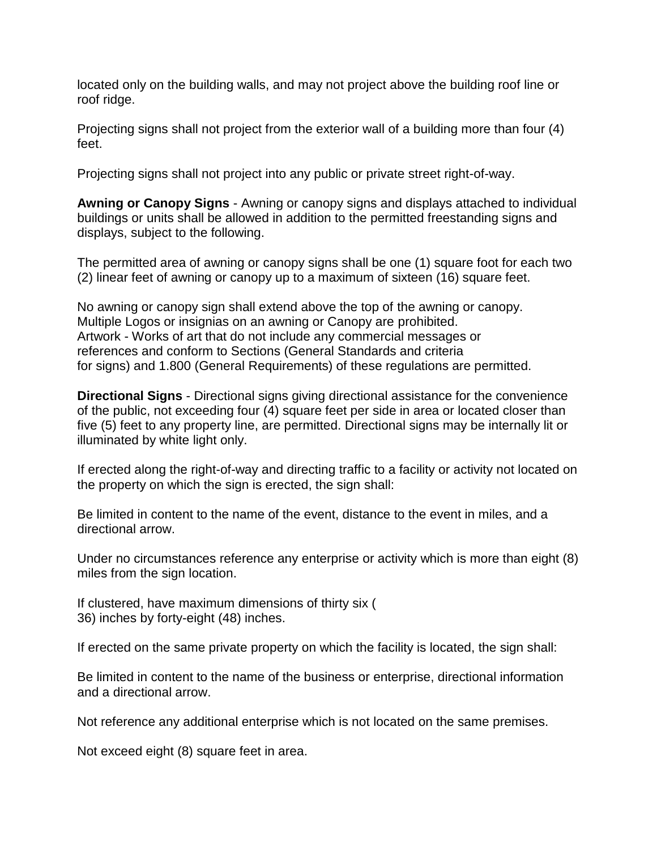located only on the building walls, and may not project above the building roof line or roof ridge.

Projecting signs shall not project from the exterior wall of a building more than four (4) feet.

Projecting signs shall not project into any public or private street right-of-way.

**Awning or Canopy Signs** - Awning or canopy signs and displays attached to individual buildings or units shall be allowed in addition to the permitted freestanding signs and displays, subject to the following.

The permitted area of awning or canopy signs shall be one (1) square foot for each two (2) linear feet of awning or canopy up to a maximum of sixteen (16) square feet.

No awning or canopy sign shall extend above the top of the awning or canopy. Multiple Logos or insignias on an awning or Canopy are prohibited. Artwork - Works of art that do not include any commercial messages or references and conform to Sections (General Standards and criteria for signs) and 1.800 (General Requirements) of these regulations are permitted.

**Directional Signs** - Directional signs giving directional assistance for the convenience of the public, not exceeding four (4) square feet per side in area or located closer than five (5) feet to any property line, are permitted. Directional signs may be internally lit or illuminated by white light only.

If erected along the right-of-way and directing traffic to a facility or activity not located on the property on which the sign is erected, the sign shall:

Be limited in content to the name of the event, distance to the event in miles, and a directional arrow.

Under no circumstances reference any enterprise or activity which is more than eight (8) miles from the sign location.

If clustered, have maximum dimensions of thirty six ( 36) inches by forty-eight (48) inches.

If erected on the same private property on which the facility is located, the sign shall:

Be limited in content to the name of the business or enterprise, directional information and a directional arrow.

Not reference any additional enterprise which is not located on the same premises.

Not exceed eight (8) square feet in area.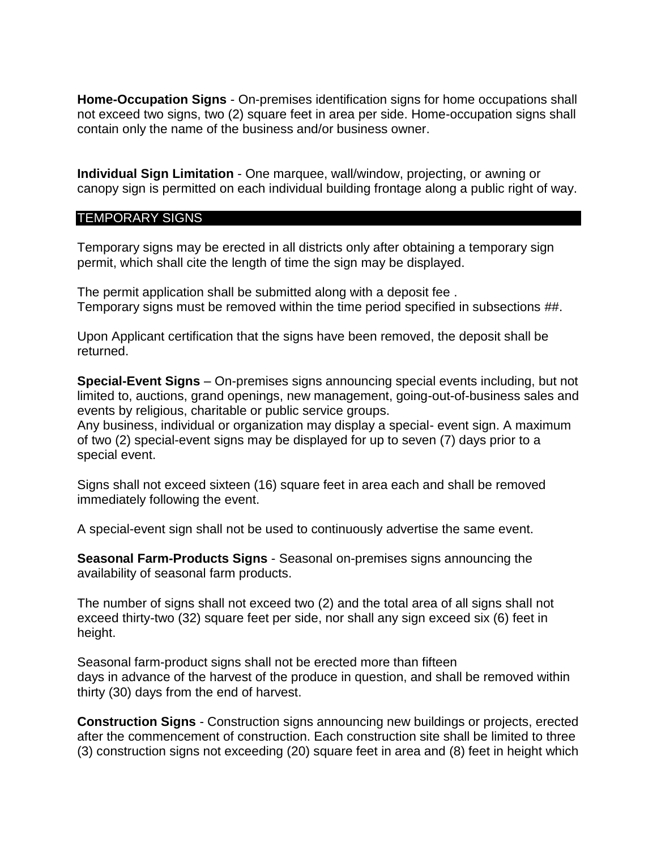**Home-Occupation Signs** - On-premises identification signs for home occupations shall not exceed two signs, two (2) square feet in area per side. Home-occupation signs shall contain only the name of the business and/or business owner.

**Individual Sign Limitation** - One marquee, wall/window, projecting, or awning or canopy sign is permitted on each individual building frontage along a public right of way.

#### TEMPORARY SIGNS

Temporary signs may be erected in all districts only after obtaining a temporary sign permit, which shall cite the length of time the sign may be displayed.

The permit application shall be submitted along with a deposit fee . Temporary signs must be removed within the time period specified in subsections ##.

Upon Applicant certification that the signs have been removed, the deposit shall be returned.

**Special-Event Signs** – On-premises signs announcing special events including, but not limited to, auctions, grand openings, new management, going-out-of-business sales and events by religious, charitable or public service groups.

Any business, individual or organization may display a special- event sign. A maximum of two (2) special-event signs may be displayed for up to seven (7) days prior to a special event.

Signs shall not exceed sixteen (16) square feet in area each and shall be removed immediately following the event.

A special-event sign shall not be used to continuously advertise the same event.

**Seasonal Farm-Products Signs** - Seasonal on-premises signs announcing the availability of seasonal farm products.

The number of signs shall not exceed two (2) and the total area of all signs shall not exceed thirty-two (32) square feet per side, nor shall any sign exceed six (6) feet in height.

Seasonal farm-product signs shall not be erected more than fifteen days in advance of the harvest of the produce in question, and shall be removed within thirty (30) days from the end of harvest.

**Construction Signs** - Construction signs announcing new buildings or projects, erected after the commencement of construction. Each construction site shall be limited to three (3) construction signs not exceeding (20) square feet in area and (8) feet in height which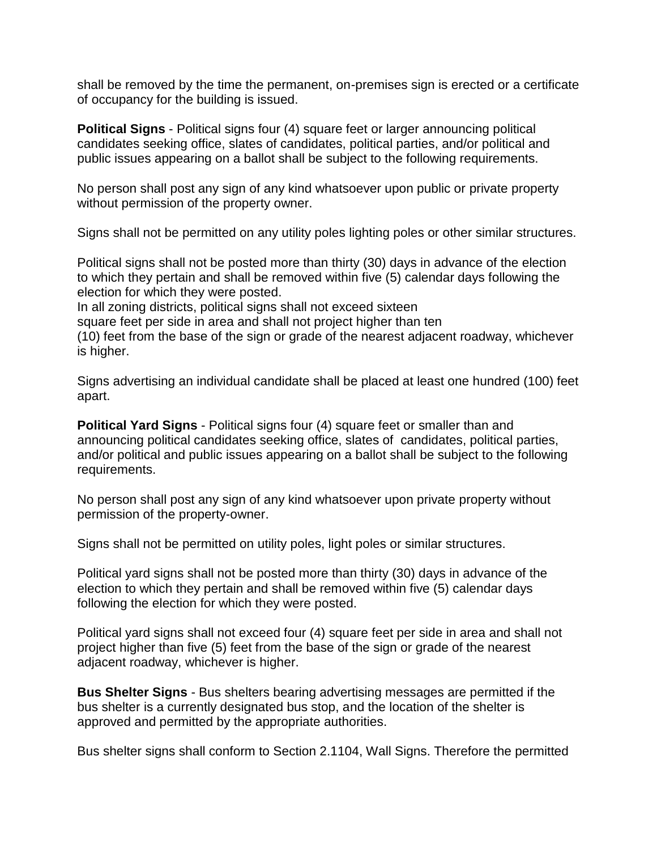shall be removed by the time the permanent, on-premises sign is erected or a certificate of occupancy for the building is issued.

**Political Signs** - Political signs four (4) square feet or larger announcing political candidates seeking office, slates of candidates, political parties, and/or political and public issues appearing on a ballot shall be subject to the following requirements.

No person shall post any sign of any kind whatsoever upon public or private property without permission of the property owner.

Signs shall not be permitted on any utility poles lighting poles or other similar structures.

Political signs shall not be posted more than thirty (30) days in advance of the election to which they pertain and shall be removed within five (5) calendar days following the election for which they were posted.

In all zoning districts, political signs shall not exceed sixteen

square feet per side in area and shall not project higher than ten

(10) feet from the base of the sign or grade of the nearest adjacent roadway, whichever is higher.

Signs advertising an individual candidate shall be placed at least one hundred (100) feet apart.

**Political Yard Signs** - Political signs four (4) square feet or smaller than and announcing political candidates seeking office, slates of candidates, political parties, and/or political and public issues appearing on a ballot shall be subject to the following requirements.

No person shall post any sign of any kind whatsoever upon private property without permission of the property-owner.

Signs shall not be permitted on utility poles, light poles or similar structures.

Political yard signs shall not be posted more than thirty (30) days in advance of the election to which they pertain and shall be removed within five (5) calendar days following the election for which they were posted.

Political yard signs shall not exceed four (4) square feet per side in area and shall not project higher than five (5) feet from the base of the sign or grade of the nearest adjacent roadway, whichever is higher.

**Bus Shelter Signs** - Bus shelters bearing advertising messages are permitted if the bus shelter is a currently designated bus stop, and the location of the shelter is approved and permitted by the appropriate authorities.

Bus shelter signs shall conform to Section 2.1104, Wall Signs. Therefore the permitted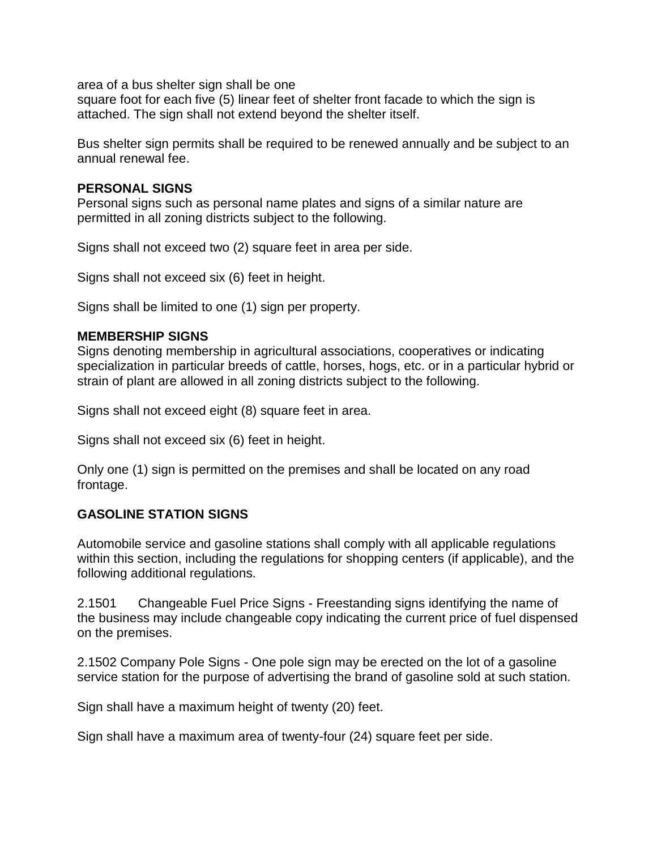area of a bus shelter sign shall be one

square foot for each five (5) linear feet of shelter front facade to which the sign is attached. The sign shall not extend beyond the shelter itself.

Bus shelter sign permits shall be required to be renewed annually and be subject to an annual renewal fee.

#### **PERSONAL SIGNS**

Personal signs such as personal name plates and signs of a similar nature are permitted in all zoning districts subject to the following.

Signs shall not exceed two (2) square feet in area per side.

Signs shall not exceed six (6) feet in height.

Signs shall be limited to one (1) sign per property.

#### **MEMBERSHIP SIGNS**

Signs denoting membership in agricultural associations, cooperatives or indicating specialization in particular breeds of cattle, horses, hogs, etc. or in a particular hybrid or strain of plant are allowed in all zoning districts subject to the following.

Signs shall not exceed eight (8) square feet in area.

Signs shall not exceed six (6) feet in height.

Only one (1) sign is permitted on the premises and shall be located on any road frontage.

#### **GASOLINE STATION SIGNS**

Automobile service and gasoline stations shall comply with all applicable regulations within this section, including the regulations for shopping centers (if applicable), and the following additional regulations.

2.1501 Changeable Fuel Price Signs - Freestanding signs identifying the name of the business may include changeable copy indicating the current price of fuel dispensed on the premises.

2.1502 Company Pole Signs - One pole sign may be erected on the lot of a gasoline service station for the purpose of advertising the brand of gasoline sold at such station.

Sign shall have a maximum height of twenty (20) feet.

Sign shall have a maximum area of twenty-four (24) square feet per side.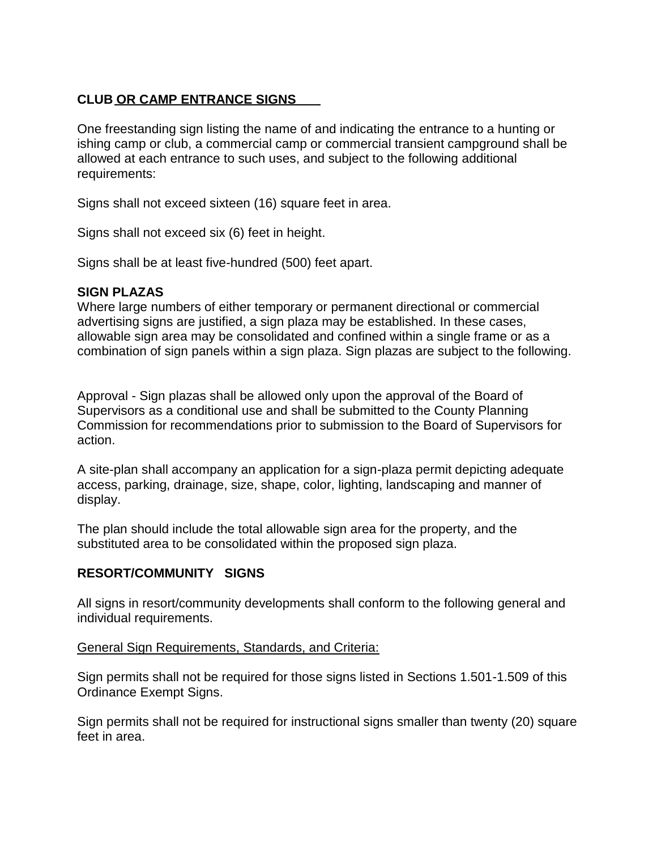#### **CLUB OR CAMP ENTRANCE SIGNS**

One freestanding sign listing the name of and indicating the entrance to a hunting or ishing camp or club, a commercial camp or commercial transient campground shall be allowed at each entrance to such uses, and subject to the following additional requirements:

Signs shall not exceed sixteen (16) square feet in area.

Signs shall not exceed six (6) feet in height.

Signs shall be at least five-hundred (500) feet apart.

#### **SIGN PLAZAS**

Where large numbers of either temporary or permanent directional or commercial advertising signs are justified, a sign plaza may be established. In these cases, allowable sign area may be consolidated and confined within a single frame or as a combination of sign panels within a sign plaza. Sign plazas are subject to the following.

Approval - Sign plazas shall be allowed only upon the approval of the Board of Supervisors as a conditional use and shall be submitted to the County Planning Commission for recommendations prior to submission to the Board of Supervisors for action.

A site-plan shall accompany an application for a sign-plaza permit depicting adequate access, parking, drainage, size, shape, color, lighting, landscaping and manner of display.

The plan should include the total allowable sign area for the property, and the substituted area to be consolidated within the proposed sign plaza.

#### **RESORT/COMMUNITY SIGNS**

All signs in resort/community developments shall conform to the following general and individual requirements.

#### General Sign Requirements, Standards, and Criteria:

Sign permits shall not be required for those signs listed in Sections 1.501-1.509 of this Ordinance Exempt Signs.

Sign permits shall not be required for instructional signs smaller than twenty (20) square feet in area.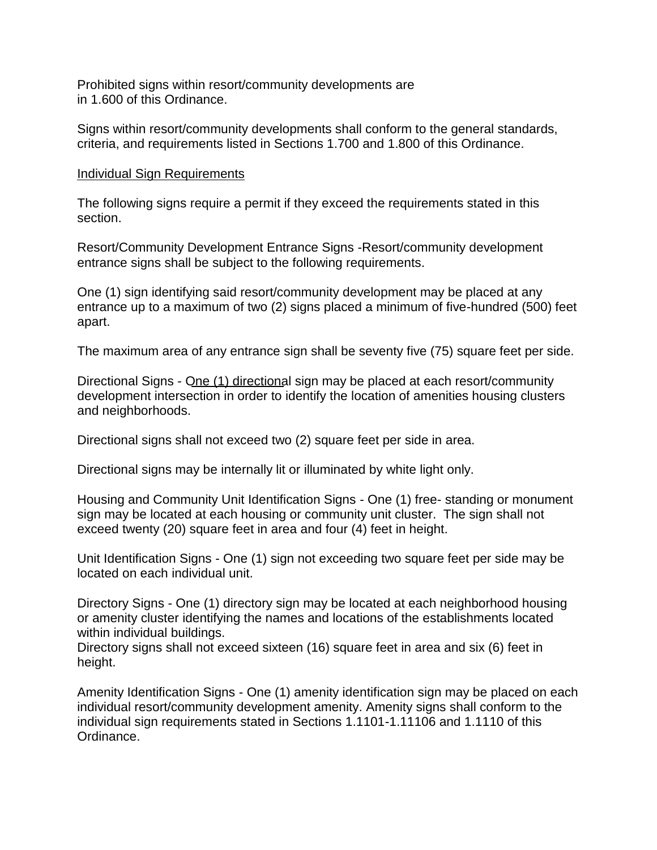Prohibited signs within resort/community developments are in 1.600 of this Ordinance.

Signs within resort/community developments shall conform to the general standards, criteria, and requirements listed in Sections 1.700 and 1.800 of this Ordinance.

#### Individual Sign Requirements

The following signs require a permit if they exceed the requirements stated in this section.

Resort/Community Development Entrance Signs -Resort/community development entrance signs shall be subject to the following requirements.

One (1) sign identifying said resort/community development may be placed at any entrance up to a maximum of two (2) signs placed a minimum of five-hundred (500) feet apart.

The maximum area of any entrance sign shall be seventy five (75) square feet per side.

Directional Signs - One (1) directional sign may be placed at each resort/community development intersection in order to identify the location of amenities housing clusters and neighborhoods.

Directional signs shall not exceed two (2) square feet per side in area.

Directional signs may be internally lit or illuminated by white light only.

Housing and Community Unit Identification Signs - One (1) free- standing or monument sign may be located at each housing or community unit cluster. The sign shall not exceed twenty (20) square feet in area and four (4) feet in height.

Unit Identification Signs - One (1) sign not exceeding two square feet per side may be located on each individual unit.

Directory Signs - One (1) directory sign may be located at each neighborhood housing or amenity cluster identifying the names and locations of the establishments located within individual buildings.

Directory signs shall not exceed sixteen (16) square feet in area and six (6) feet in height.

Amenity Identification Signs - One (1) amenity identification sign may be placed on each individual resort/community development amenity. Amenity signs shall conform to the individual sign requirements stated in Sections 1.1101-1.11106 and 1.1110 of this Ordinance.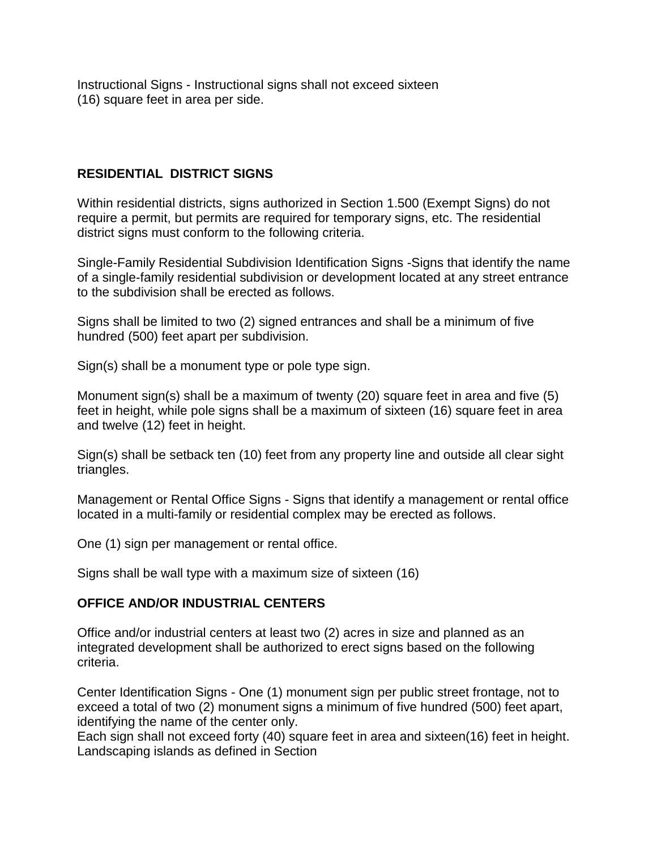Instructional Signs - Instructional signs shall not exceed sixteen (16) square feet in area per side.

#### **RESIDENTIAL DISTRICT SIGNS**

Within residential districts, signs authorized in Section 1.500 (Exempt Signs) do not require a permit, but permits are required for temporary signs, etc. The residential district signs must conform to the following criteria.

Single-Family Residential Subdivision Identification Signs -Signs that identify the name of a single-family residential subdivision or development located at any street entrance to the subdivision shall be erected as follows.

Signs shall be limited to two (2) signed entrances and shall be a minimum of five hundred (500) feet apart per subdivision.

Sign(s) shall be a monument type or pole type sign.

Monument sign(s) shall be a maximum of twenty (20) square feet in area and five (5) feet in height, while pole signs shall be a maximum of sixteen (16) square feet in area and twelve (12) feet in height.

Sign(s) shall be setback ten (10) feet from any property line and outside all clear sight triangles.

Management or Rental Office Signs - Signs that identify a management or rental office located in a multi-family or residential complex may be erected as follows.

One (1) sign per management or rental office.

Signs shall be wall type with a maximum size of sixteen (16)

#### **OFFICE AND/OR INDUSTRIAL CENTERS**

Office and/or industrial centers at least two (2) acres in size and planned as an integrated development shall be authorized to erect signs based on the following criteria.

Center Identification Signs - One (1) monument sign per public street frontage, not to exceed a total of two (2) monument signs a minimum of five hundred (500) feet apart, identifying the name of the center only.

Each sign shall not exceed forty (40) square feet in area and sixteen(16) feet in height. Landscaping islands as defined in Section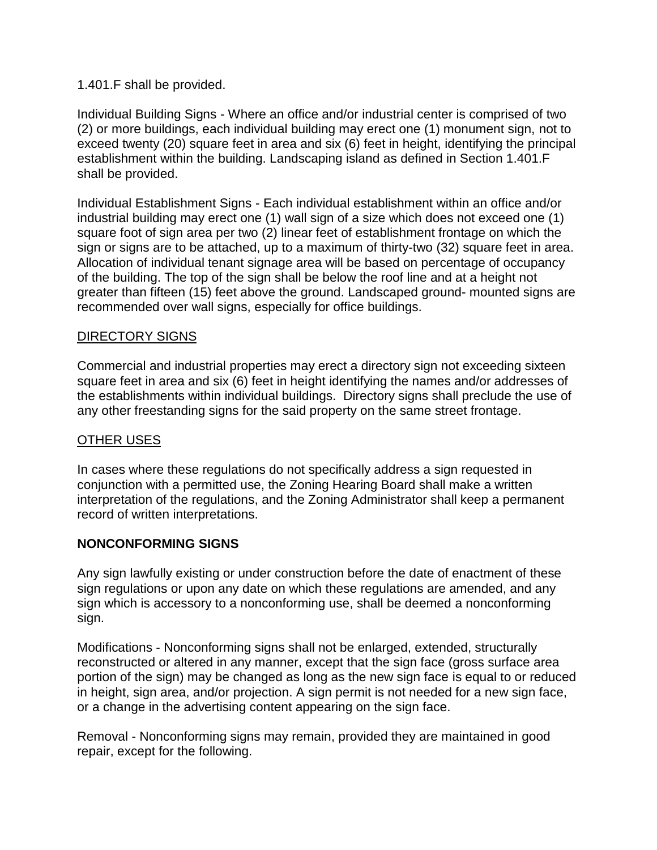#### 1.401.F shall be provided.

Individual Building Signs - Where an office and/or industrial center is comprised of two (2) or more buildings, each individual building may erect one (1) monument sign, not to exceed twenty (20) square feet in area and six (6) feet in height, identifying the principal establishment within the building. Landscaping island as defined in Section 1.401.F shall be provided.

Individual Establishment Signs - Each individual establishment within an office and/or industrial building may erect one (1) wall sign of a size which does not exceed one (1) square foot of sign area per two (2) linear feet of establishment frontage on which the sign or signs are to be attached, up to a maximum of thirty-two (32) square feet in area. Allocation of individual tenant signage area will be based on percentage of occupancy of the building. The top of the sign shall be below the roof line and at a height not greater than fifteen (15) feet above the ground. Landscaped ground- mounted signs are recommended over wall signs, especially for office buildings.

#### DIRECTORY SIGNS

Commercial and industrial properties may erect a directory sign not exceeding sixteen square feet in area and six (6) feet in height identifying the names and/or addresses of the establishments within individual buildings. Directory signs shall preclude the use of any other freestanding signs for the said property on the same street frontage.

#### OTHER USES

In cases where these regulations do not specifically address a sign requested in conjunction with a permitted use, the Zoning Hearing Board shall make a written interpretation of the regulations, and the Zoning Administrator shall keep a permanent record of written interpretations.

#### **NONCONFORMING SIGNS**

Any sign lawfully existing or under construction before the date of enactment of these sign regulations or upon any date on which these regulations are amended, and any sign which is accessory to a nonconforming use, shall be deemed a nonconforming sign.

Modifications - Nonconforming signs shall not be enlarged, extended, structurally reconstructed or altered in any manner, except that the sign face (gross surface area portion of the sign) may be changed as long as the new sign face is equal to or reduced in height, sign area, and/or projection. A sign permit is not needed for a new sign face, or a change in the advertising content appearing on the sign face.

Removal - Nonconforming signs may remain, provided they are maintained in good repair, except for the following.